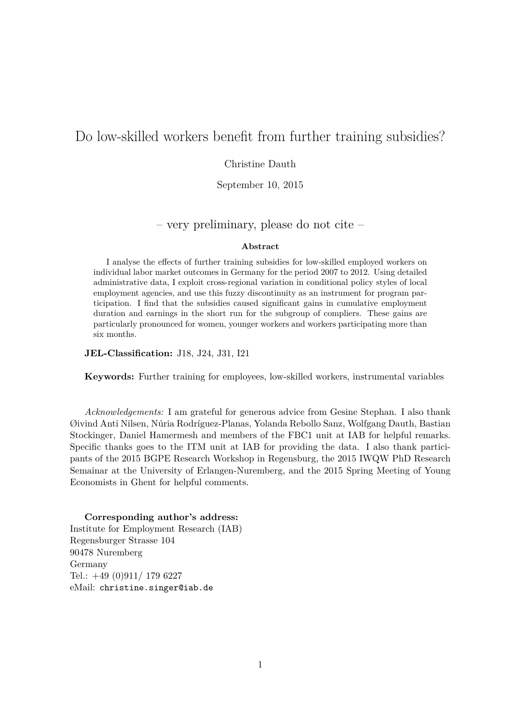# Do low-skilled workers benefit from further training subsidies?

### Christine Dauth

September 10, 2015

## – very preliminary, please do not cite –

#### **Abstract**

I analyse the effects of further training subsidies for low-skilled employed workers on individual labor market outcomes in Germany for the period 2007 to 2012. Using detailed administrative data, I exploit cross-regional variation in conditional policy styles of local employment agencies, and use this fuzzy discontinuity as an instrument for program participation. I find that the subsidies caused significant gains in cumulative employment duration and earnings in the short run for the subgroup of compliers. These gains are particularly pronounced for women, younger workers and workers participating more than six months.

**JEL-Classification:** J18, J24, J31, I21

**Keywords:** Further training for employees, low-skilled workers, instrumental variables

*Acknowledgements:* I am grateful for generous advice from Gesine Stephan. I also thank Øivind Anti Nilsen, Núria Rodríguez-Planas, Yolanda Rebollo Sanz, Wolfgang Dauth, Bastian Stockinger, Daniel Hamermesh and members of the FBC1 unit at IAB for helpful remarks. Specific thanks goes to the ITM unit at IAB for providing the data. I also thank participants of the 2015 BGPE Research Workshop in Regensburg, the 2015 IWQW PhD Research Semainar at the University of Erlangen-Nuremberg, and the 2015 Spring Meeting of Young Economists in Ghent for helpful comments.

#### **Corresponding author's address:**

Institute for Employment Research (IAB) Regensburger Strasse 104 90478 Nuremberg Germany Tel.: +49 (0)911/ 179 6227 eMail: christine.singer@iab.de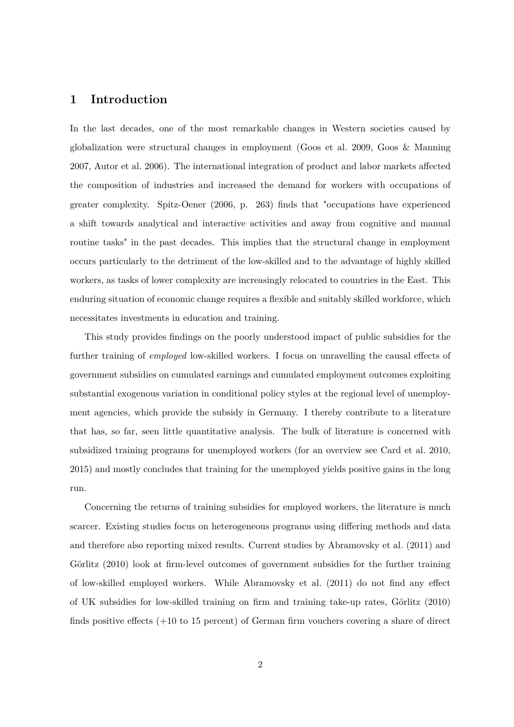# **1 Introduction**

In the last decades, one of the most remarkable changes in Western societies caused by globalization were structural changes in employment (Goos et al. 2009, Goos & Manning 2007, Autor et al. 2006). The international integration of product and labor markets affected the composition of industries and increased the demand for workers with occupations of greater complexity. Spitz-Oener (2006, p. 263) finds that "occupations have experienced a shift towards analytical and interactive activities and away from cognitive and manual routine tasks" in the past decades. This implies that the structural change in employment occurs particularly to the detriment of the low-skilled and to the advantage of highly skilled workers, as tasks of lower complexity are increasingly relocated to countries in the East. This enduring situation of economic change requires a flexible and suitably skilled workforce, which necessitates investments in education and training.

This study provides findings on the poorly understood impact of public subsidies for the further training of *employed* low-skilled workers. I focus on unravelling the causal effects of government subsidies on cumulated earnings and cumulated employment outcomes exploiting substantial exogenous variation in conditional policy styles at the regional level of unemployment agencies, which provide the subsidy in Germany. I thereby contribute to a literature that has, so far, seen little quantitative analysis. The bulk of literature is concerned with subsidized training programs for unemployed workers (for an overview see Card et al. 2010, 2015) and mostly concludes that training for the unemployed yields positive gains in the long run.

Concerning the returns of training subsidies for employed workers, the literature is much scarcer. Existing studies focus on heterogeneous programs using differing methods and data and therefore also reporting mixed results. Current studies by Abramovsky et al. (2011) and Görlitz (2010) look at firm-level outcomes of government subsidies for the further training of low-skilled employed workers. While Abramovsky et al. (2011) do not find any effect of UK subsidies for low-skilled training on firm and training take-up rates, Görlitz (2010) finds positive effects (+10 to 15 percent) of German firm vouchers covering a share of direct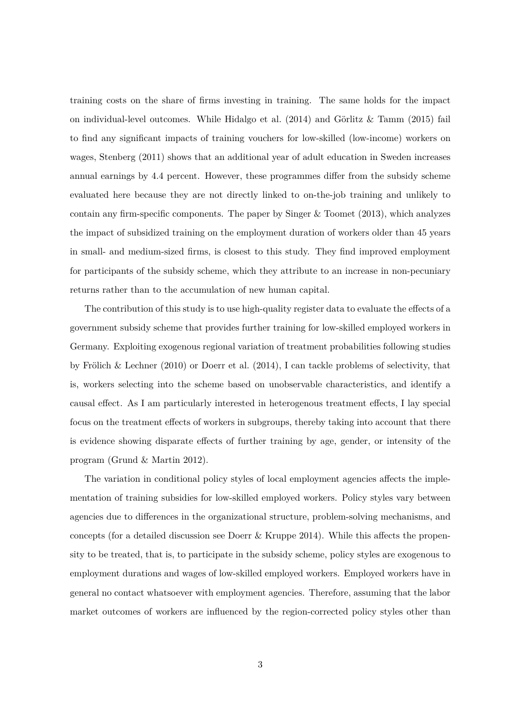training costs on the share of firms investing in training. The same holds for the impact on individual-level outcomes. While Hidalgo et al. (2014) and Görlitz & Tamm (2015) fail to find any significant impacts of training vouchers for low-skilled (low-income) workers on wages, Stenberg (2011) shows that an additional year of adult education in Sweden increases annual earnings by 4.4 percent. However, these programmes differ from the subsidy scheme evaluated here because they are not directly linked to on-the-job training and unlikely to contain any firm-specific components. The paper by Singer  $&$  Toomet (2013), which analyzes the impact of subsidized training on the employment duration of workers older than 45 years in small- and medium-sized firms, is closest to this study. They find improved employment for participants of the subsidy scheme, which they attribute to an increase in non-pecuniary returns rather than to the accumulation of new human capital.

The contribution of this study is to use high-quality register data to evaluate the effects of a government subsidy scheme that provides further training for low-skilled employed workers in Germany. Exploiting exogenous regional variation of treatment probabilities following studies by Frölich & Lechner (2010) or Doerr et al. (2014), I can tackle problems of selectivity, that is, workers selecting into the scheme based on unobservable characteristics, and identify a causal effect. As I am particularly interested in heterogenous treatment effects, I lay special focus on the treatment effects of workers in subgroups, thereby taking into account that there is evidence showing disparate effects of further training by age, gender, or intensity of the program (Grund & Martin 2012).

The variation in conditional policy styles of local employment agencies affects the implementation of training subsidies for low-skilled employed workers. Policy styles vary between agencies due to differences in the organizational structure, problem-solving mechanisms, and concepts (for a detailed discussion see Doerr & Kruppe 2014). While this affects the propensity to be treated, that is, to participate in the subsidy scheme, policy styles are exogenous to employment durations and wages of low-skilled employed workers. Employed workers have in general no contact whatsoever with employment agencies. Therefore, assuming that the labor market outcomes of workers are influenced by the region-corrected policy styles other than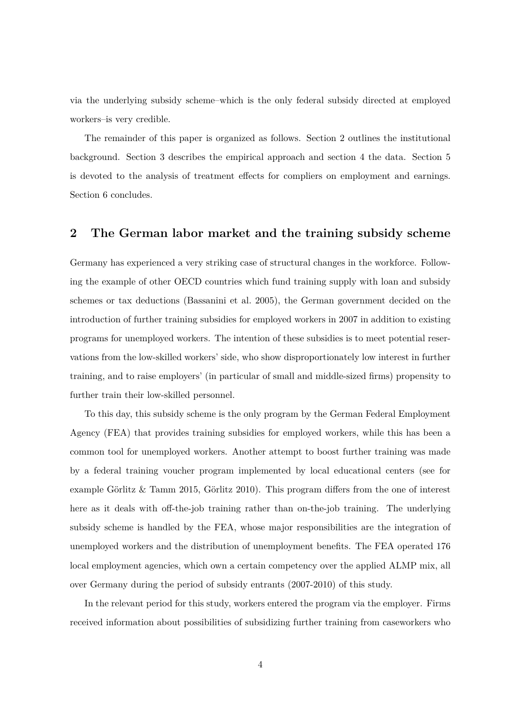via the underlying subsidy scheme–which is the only federal subsidy directed at employed workers–is very credible.

The remainder of this paper is organized as follows. Section 2 outlines the institutional background. Section 3 describes the empirical approach and section 4 the data. Section 5 is devoted to the analysis of treatment effects for compliers on employment and earnings. Section 6 concludes.

# **2 The German labor market and the training subsidy scheme**

Germany has experienced a very striking case of structural changes in the workforce. Following the example of other OECD countries which fund training supply with loan and subsidy schemes or tax deductions (Bassanini et al. 2005), the German government decided on the introduction of further training subsidies for employed workers in 2007 in addition to existing programs for unemployed workers. The intention of these subsidies is to meet potential reservations from the low-skilled workers' side, who show disproportionately low interest in further training, and to raise employers' (in particular of small and middle-sized firms) propensity to further train their low-skilled personnel.

To this day, this subsidy scheme is the only program by the German Federal Employment Agency (FEA) that provides training subsidies for employed workers, while this has been a common tool for unemployed workers. Another attempt to boost further training was made by a federal training voucher program implemented by local educational centers (see for example Görlitz & Tamm 2015, Görlitz 2010). This program differs from the one of interest here as it deals with off-the-job training rather than on-the-job training. The underlying subsidy scheme is handled by the FEA, whose major responsibilities are the integration of unemployed workers and the distribution of unemployment benefits. The FEA operated 176 local employment agencies, which own a certain competency over the applied ALMP mix, all over Germany during the period of subsidy entrants (2007-2010) of this study.

In the relevant period for this study, workers entered the program via the employer. Firms received information about possibilities of subsidizing further training from caseworkers who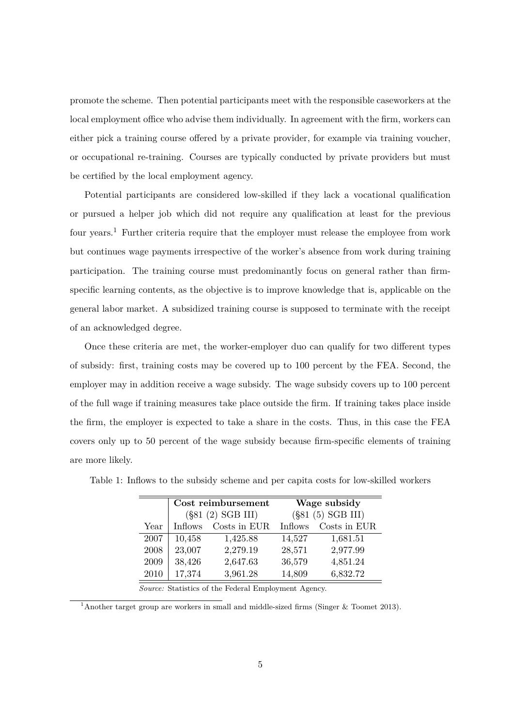promote the scheme. Then potential participants meet with the responsible caseworkers at the local employment office who advise them individually. In agreement with the firm, workers can either pick a training course offered by a private provider, for example via training voucher, or occupational re-training. Courses are typically conducted by private providers but must be certified by the local employment agency.

Potential participants are considered low-skilled if they lack a vocational qualification or pursued a helper job which did not require any qualification at least for the previous four years.<sup>1</sup> Further criteria require that the employer must release the employee from work but continues wage payments irrespective of the worker's absence from work during training participation. The training course must predominantly focus on general rather than firmspecific learning contents, as the objective is to improve knowledge that is, applicable on the general labor market. A subsidized training course is supposed to terminate with the receipt of an acknowledged degree.

Once these criteria are met, the worker-employer duo can qualify for two different types of subsidy: first, training costs may be covered up to 100 percent by the FEA. Second, the employer may in addition receive a wage subsidy. The wage subsidy covers up to 100 percent of the full wage if training measures take place outside the firm. If training takes place inside the firm, the employer is expected to take a share in the costs. Thus, in this case the FEA covers only up to 50 percent of the wage subsidy because firm-specific elements of training are more likely.

|      |                | Cost reimbursement  |                     | Wage subsidy |  |  |
|------|----------------|---------------------|---------------------|--------------|--|--|
|      |                | $(\$81(2) SGB III)$ | $(\$81(5) SGB III)$ |              |  |  |
| Year | <b>Inflows</b> | Costs in EUR        | <b>Inflows</b>      | Costs in EUR |  |  |
| 2007 | 10,458         | 1,425.88            | 14,527              | 1,681.51     |  |  |
| 2008 | 23,007         | 2,279.19            | 28,571              | 2,977.99     |  |  |
| 2009 | 38,426         | 2,647.63            | 36,579              | 4,851.24     |  |  |
| 2010 | 17,374         | 3,961.28            | 14,809              | 6,832.72     |  |  |

Table 1: Inflows to the subsidy scheme and per capita costs for low-skilled workers

*Source:* Statistics of the Federal Employment Agency.

<sup>1</sup>Another target group are workers in small and middle-sized firms (Singer & Toomet 2013).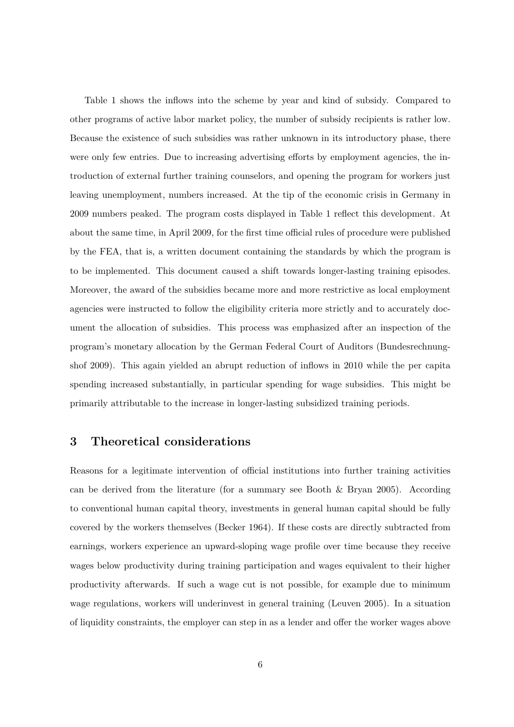Table 1 shows the inflows into the scheme by year and kind of subsidy. Compared to other programs of active labor market policy, the number of subsidy recipients is rather low. Because the existence of such subsidies was rather unknown in its introductory phase, there were only few entries. Due to increasing advertising efforts by employment agencies, the introduction of external further training counselors, and opening the program for workers just leaving unemployment, numbers increased. At the tip of the economic crisis in Germany in 2009 numbers peaked. The program costs displayed in Table 1 reflect this development. At about the same time, in April 2009, for the first time official rules of procedure were published by the FEA, that is, a written document containing the standards by which the program is to be implemented. This document caused a shift towards longer-lasting training episodes. Moreover, the award of the subsidies became more and more restrictive as local employment agencies were instructed to follow the eligibility criteria more strictly and to accurately document the allocation of subsidies. This process was emphasized after an inspection of the program's monetary allocation by the German Federal Court of Auditors (Bundesrechnungshof 2009). This again yielded an abrupt reduction of inflows in 2010 while the per capita spending increased substantially, in particular spending for wage subsidies. This might be primarily attributable to the increase in longer-lasting subsidized training periods.

# **3 Theoretical considerations**

Reasons for a legitimate intervention of official institutions into further training activities can be derived from the literature (for a summary see Booth & Bryan 2005). According to conventional human capital theory, investments in general human capital should be fully covered by the workers themselves (Becker 1964). If these costs are directly subtracted from earnings, workers experience an upward-sloping wage profile over time because they receive wages below productivity during training participation and wages equivalent to their higher productivity afterwards. If such a wage cut is not possible, for example due to minimum wage regulations, workers will underinvest in general training (Leuven 2005). In a situation of liquidity constraints, the employer can step in as a lender and offer the worker wages above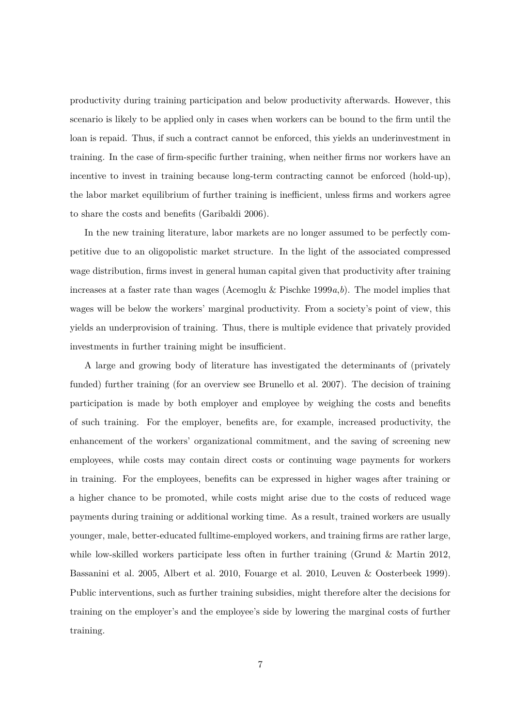productivity during training participation and below productivity afterwards. However, this scenario is likely to be applied only in cases when workers can be bound to the firm until the loan is repaid. Thus, if such a contract cannot be enforced, this yields an underinvestment in training. In the case of firm-specific further training, when neither firms nor workers have an incentive to invest in training because long-term contracting cannot be enforced (hold-up), the labor market equilibrium of further training is inefficient, unless firms and workers agree to share the costs and benefits (Garibaldi 2006).

In the new training literature, labor markets are no longer assumed to be perfectly competitive due to an oligopolistic market structure. In the light of the associated compressed wage distribution, firms invest in general human capital given that productivity after training increases at a faster rate than wages (Acemoglu & Pischke 1999*a*,*b*). The model implies that wages will be below the workers' marginal productivity. From a society's point of view, this yields an underprovision of training. Thus, there is multiple evidence that privately provided investments in further training might be insufficient.

A large and growing body of literature has investigated the determinants of (privately funded) further training (for an overview see Brunello et al. 2007). The decision of training participation is made by both employer and employee by weighing the costs and benefits of such training. For the employer, benefits are, for example, increased productivity, the enhancement of the workers' organizational commitment, and the saving of screening new employees, while costs may contain direct costs or continuing wage payments for workers in training. For the employees, benefits can be expressed in higher wages after training or a higher chance to be promoted, while costs might arise due to the costs of reduced wage payments during training or additional working time. As a result, trained workers are usually younger, male, better-educated fulltime-employed workers, and training firms are rather large, while low-skilled workers participate less often in further training (Grund & Martin 2012, Bassanini et al. 2005, Albert et al. 2010, Fouarge et al. 2010, Leuven & Oosterbeek 1999). Public interventions, such as further training subsidies, might therefore alter the decisions for training on the employer's and the employee's side by lowering the marginal costs of further training.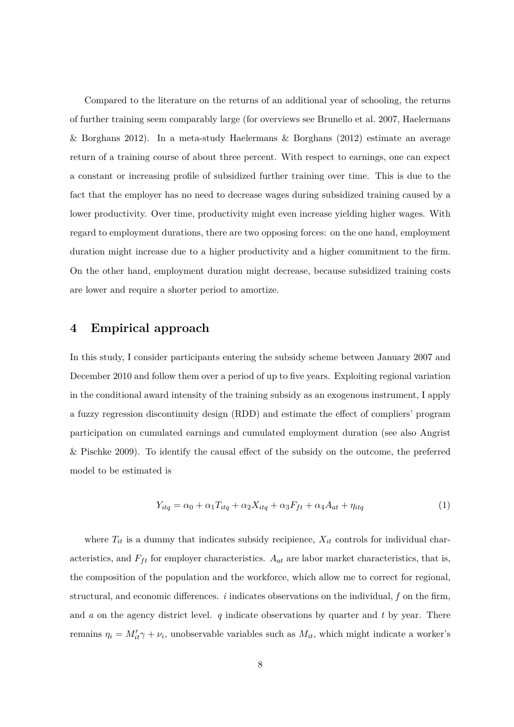Compared to the literature on the returns of an additional year of schooling, the returns of further training seem comparably large (for overviews see Brunello et al. 2007, Haelermans & Borghans 2012). In a meta-study Haelermans & Borghans (2012) estimate an average return of a training course of about three percent. With respect to earnings, one can expect a constant or increasing profile of subsidized further training over time. This is due to the fact that the employer has no need to decrease wages during subsidized training caused by a lower productivity. Over time, productivity might even increase yielding higher wages. With regard to employment durations, there are two opposing forces: on the one hand, employment duration might increase due to a higher productivity and a higher commitment to the firm. On the other hand, employment duration might decrease, because subsidized training costs are lower and require a shorter period to amortize.

# **4 Empirical approach**

In this study, I consider participants entering the subsidy scheme between January 2007 and December 2010 and follow them over a period of up to five years. Exploiting regional variation in the conditional award intensity of the training subsidy as an exogenous instrument, I apply a fuzzy regression discontinuity design (RDD) and estimate the effect of compliers' program participation on cumulated earnings and cumulated employment duration (see also Angrist & Pischke 2009). To identify the causal effect of the subsidy on the outcome, the preferred model to be estimated is

$$
Y_{itq} = \alpha_0 + \alpha_1 T_{itq} + \alpha_2 X_{itq} + \alpha_3 F_{ft} + \alpha_4 A_{at} + \eta_{itq}
$$
\n
$$
\tag{1}
$$

where  $T_{it}$  is a dummy that indicates subsidy recipience,  $X_{it}$  controls for individual characteristics, and  $F_{ft}$  for employer characteristics.  $A_{at}$  are labor market characteristics, that is, the composition of the population and the workforce, which allow me to correct for regional, structural, and economic differences. *i* indicates observations on the individual, *f* on the firm, and *a* on the agency district level. *q* indicate observations by quarter and *t* by year. There remains  $\eta_i = M'_{it}\gamma + \nu_i$ , unobservable variables such as  $M_{it}$ , which might indicate a worker's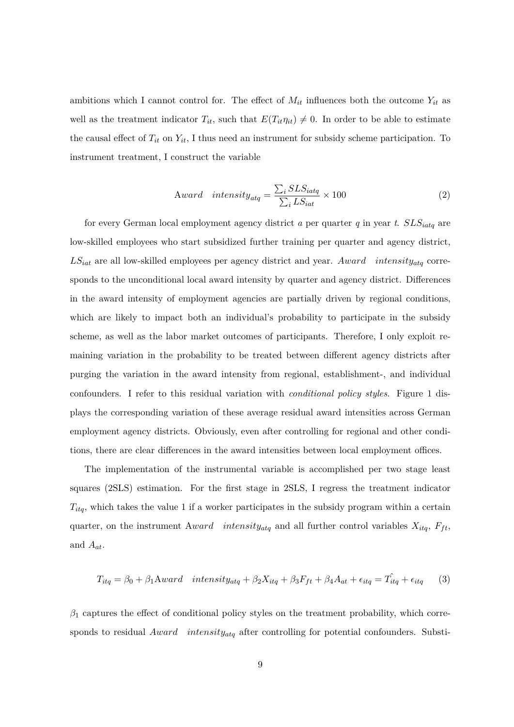ambitions which I cannot control for. The effect of  $M_{it}$  influences both the outcome  $Y_{it}$  as well as the treatment indicator  $T_{it}$ , such that  $E(T_{it}\eta_{it}) \neq 0$ . In order to be able to estimate the causal effect of  $T_{it}$  on  $Y_{it}$ , I thus need an instrument for subsidy scheme participation. To instrument treatment, I construct the variable

$$
Award \text{ intensity}_{\text{atq}} = \frac{\sum_{i} SLS_{\text{iatq}}}{\sum_{i} LS_{\text{iat}}} \times 100 \tag{2}
$$

for every German local employment agency district *a* per quarter *q* in year *t*. *SLSiatq* are low-skilled employees who start subsidized further training per quarter and agency district, *LSiat* are all low-skilled employees per agency district and year. *Award intensityatq* corresponds to the unconditional local award intensity by quarter and agency district. Differences in the award intensity of employment agencies are partially driven by regional conditions, which are likely to impact both an individual's probability to participate in the subsidy scheme, as well as the labor market outcomes of participants. Therefore, I only exploit remaining variation in the probability to be treated between different agency districts after purging the variation in the award intensity from regional, establishment-, and individual confounders. I refer to this residual variation with *conditional policy styles*. Figure 1 displays the corresponding variation of these average residual award intensities across German employment agency districts. Obviously, even after controlling for regional and other conditions, there are clear differences in the award intensities between local employment offices.

The implementation of the instrumental variable is accomplished per two stage least squares (2SLS) estimation. For the first stage in 2SLS, I regress the treatment indicator  $T_{ita}$ , which takes the value 1 if a worker participates in the subsidy program within a certain quarter, on the instrument  $Award$  *intensity<sub>atg</sub>* and all further control variables  $X_{itq}$ ,  $F_{ft}$ , and *Aat*.

$$
T_{itq} = \beta_0 + \beta_1 \text{A}ward \text{ intensity}_{atq} + \beta_2 X_{itq} + \beta_3 F_{ft} + \beta_4 A_{at} + \epsilon_{itq} = \hat{T}_{itq} + \epsilon_{itq} \tag{3}
$$

*β*<sup>1</sup> captures the effect of conditional policy styles on the treatment probability, which corresponds to residual *Award intensityatq* after controlling for potential confounders. Substi-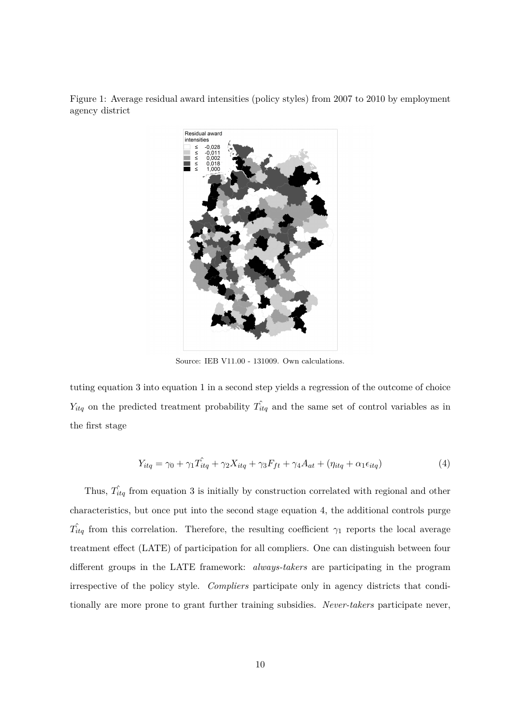Figure 1: Average residual award intensities (policy styles) from 2007 to 2010 by employment agency district



Source: IEB V11.00 - 131009. Own calculations.

tuting equation 3 into equation 1 in a second step yields a regression of the outcome of choice  $Y_{itq}$  on the predicted treatment probability  $\hat{T}_{itq}$  and the same set of control variables as in the first stage

$$
Y_{itq} = \gamma_0 + \gamma_1 \hat{T}_{itq} + \gamma_2 X_{itq} + \gamma_3 F_{ft} + \gamma_4 A_{at} + (\eta_{itq} + \alpha_1 \epsilon_{itq})
$$
\n
$$
\tag{4}
$$

Thus,  $\hat{T}_{itq}$  from equation 3 is initially by construction correlated with regional and other characteristics, but once put into the second stage equation 4, the additional controls purge  $\hat{T}_{itq}$  from this correlation. Therefore, the resulting coefficient  $\gamma_1$  reports the local average treatment effect (LATE) of participation for all compliers. One can distinguish between four different groups in the LATE framework: *always-takers* are participating in the program irrespective of the policy style. *Compliers* participate only in agency districts that conditionally are more prone to grant further training subsidies. *Never-takers* participate never,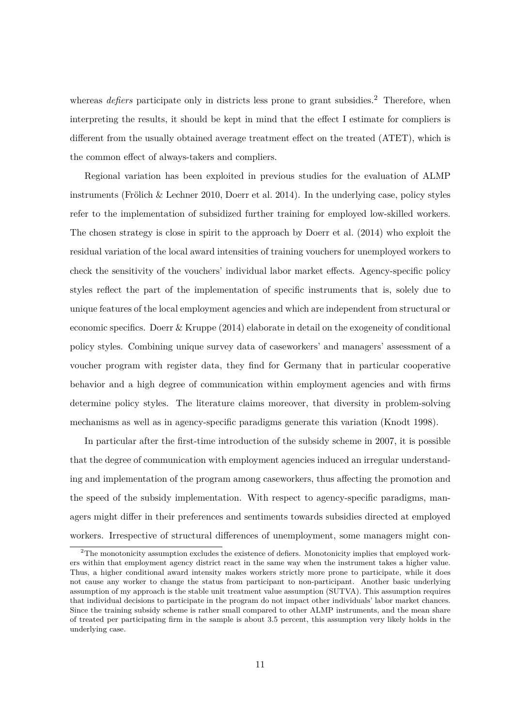whereas *defiers* participate only in districts less prone to grant subsidies.<sup>2</sup> Therefore, when interpreting the results, it should be kept in mind that the effect I estimate for compliers is different from the usually obtained average treatment effect on the treated (ATET), which is the common effect of always-takers and compliers.

Regional variation has been exploited in previous studies for the evaluation of ALMP instruments (Frölich & Lechner 2010, Doerr et al. 2014). In the underlying case, policy styles refer to the implementation of subsidized further training for employed low-skilled workers. The chosen strategy is close in spirit to the approach by Doerr et al. (2014) who exploit the residual variation of the local award intensities of training vouchers for unemployed workers to check the sensitivity of the vouchers' individual labor market effects. Agency-specific policy styles reflect the part of the implementation of specific instruments that is, solely due to unique features of the local employment agencies and which are independent from structural or economic specifics. Doerr & Kruppe (2014) elaborate in detail on the exogeneity of conditional policy styles. Combining unique survey data of caseworkers' and managers' assessment of a voucher program with register data, they find for Germany that in particular cooperative behavior and a high degree of communication within employment agencies and with firms determine policy styles. The literature claims moreover, that diversity in problem-solving mechanisms as well as in agency-specific paradigms generate this variation (Knodt 1998).

In particular after the first-time introduction of the subsidy scheme in 2007, it is possible that the degree of communication with employment agencies induced an irregular understanding and implementation of the program among caseworkers, thus affecting the promotion and the speed of the subsidy implementation. With respect to agency-specific paradigms, managers might differ in their preferences and sentiments towards subsidies directed at employed workers. Irrespective of structural differences of unemployment, some managers might con-

<sup>&</sup>lt;sup>2</sup>The monotonicity assumption excludes the existence of defiers. Monotonicity implies that employed workers within that employment agency district react in the same way when the instrument takes a higher value. Thus, a higher conditional award intensity makes workers strictly more prone to participate, while it does not cause any worker to change the status from participant to non-participant. Another basic underlying assumption of my approach is the stable unit treatment value assumption (SUTVA). This assumption requires that individual decisions to participate in the program do not impact other individuals' labor market chances. Since the training subsidy scheme is rather small compared to other ALMP instruments, and the mean share of treated per participating firm in the sample is about 3.5 percent, this assumption very likely holds in the underlying case.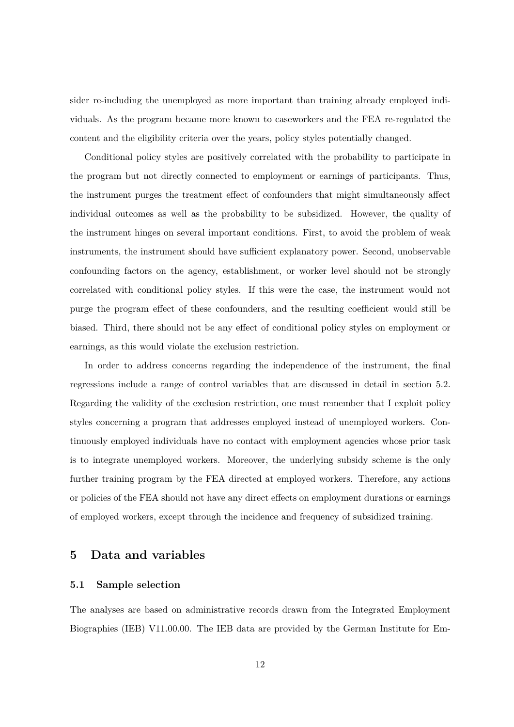sider re-including the unemployed as more important than training already employed individuals. As the program became more known to caseworkers and the FEA re-regulated the content and the eligibility criteria over the years, policy styles potentially changed.

Conditional policy styles are positively correlated with the probability to participate in the program but not directly connected to employment or earnings of participants. Thus, the instrument purges the treatment effect of confounders that might simultaneously affect individual outcomes as well as the probability to be subsidized. However, the quality of the instrument hinges on several important conditions. First, to avoid the problem of weak instruments, the instrument should have sufficient explanatory power. Second, unobservable confounding factors on the agency, establishment, or worker level should not be strongly correlated with conditional policy styles. If this were the case, the instrument would not purge the program effect of these confounders, and the resulting coefficient would still be biased. Third, there should not be any effect of conditional policy styles on employment or earnings, as this would violate the exclusion restriction.

In order to address concerns regarding the independence of the instrument, the final regressions include a range of control variables that are discussed in detail in section 5.2. Regarding the validity of the exclusion restriction, one must remember that I exploit policy styles concerning a program that addresses employed instead of unemployed workers. Continuously employed individuals have no contact with employment agencies whose prior task is to integrate unemployed workers. Moreover, the underlying subsidy scheme is the only further training program by the FEA directed at employed workers. Therefore, any actions or policies of the FEA should not have any direct effects on employment durations or earnings of employed workers, except through the incidence and frequency of subsidized training.

# **5 Data and variables**

### **5.1 Sample selection**

The analyses are based on administrative records drawn from the Integrated Employment Biographies (IEB) V11.00.00. The IEB data are provided by the German Institute for Em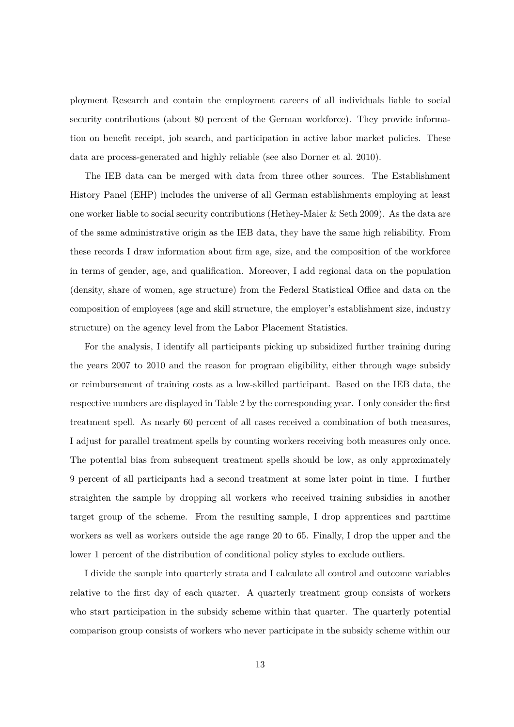ployment Research and contain the employment careers of all individuals liable to social security contributions (about 80 percent of the German workforce). They provide information on benefit receipt, job search, and participation in active labor market policies. These data are process-generated and highly reliable (see also Dorner et al. 2010).

The IEB data can be merged with data from three other sources. The Establishment History Panel (EHP) includes the universe of all German establishments employing at least one worker liable to social security contributions (Hethey-Maier & Seth 2009). As the data are of the same administrative origin as the IEB data, they have the same high reliability. From these records I draw information about firm age, size, and the composition of the workforce in terms of gender, age, and qualification. Moreover, I add regional data on the population (density, share of women, age structure) from the Federal Statistical Office and data on the composition of employees (age and skill structure, the employer's establishment size, industry structure) on the agency level from the Labor Placement Statistics.

For the analysis, I identify all participants picking up subsidized further training during the years 2007 to 2010 and the reason for program eligibility, either through wage subsidy or reimbursement of training costs as a low-skilled participant. Based on the IEB data, the respective numbers are displayed in Table 2 by the corresponding year. I only consider the first treatment spell. As nearly 60 percent of all cases received a combination of both measures, I adjust for parallel treatment spells by counting workers receiving both measures only once. The potential bias from subsequent treatment spells should be low, as only approximately 9 percent of all participants had a second treatment at some later point in time. I further straighten the sample by dropping all workers who received training subsidies in another target group of the scheme. From the resulting sample, I drop apprentices and parttime workers as well as workers outside the age range 20 to 65. Finally, I drop the upper and the lower 1 percent of the distribution of conditional policy styles to exclude outliers.

I divide the sample into quarterly strata and I calculate all control and outcome variables relative to the first day of each quarter. A quarterly treatment group consists of workers who start participation in the subsidy scheme within that quarter. The quarterly potential comparison group consists of workers who never participate in the subsidy scheme within our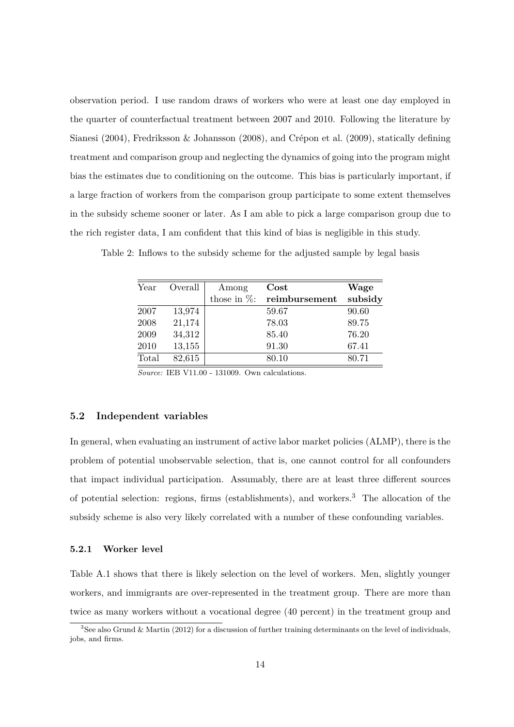observation period. I use random draws of workers who were at least one day employed in the quarter of counterfactual treatment between 2007 and 2010. Following the literature by Sianesi (2004), Fredriksson & Johansson (2008), and Crépon et al. (2009), statically defining treatment and comparison group and neglecting the dynamics of going into the program might bias the estimates due to conditioning on the outcome. This bias is particularly important, if a large fraction of workers from the comparison group participate to some extent themselves in the subsidy scheme sooner or later. As I am able to pick a large comparison group due to the rich register data, I am confident that this kind of bias is negligible in this study.

| Year  | Overall | Among           | $\rm Cost$    | Wage    |
|-------|---------|-----------------|---------------|---------|
|       |         | those in $\%$ : | reimbursement | subsidy |
| 2007  | 13,974  |                 | 59.67         | 90.60   |
| 2008  | 21,174  |                 | 78.03         | 89.75   |
| 2009  | 34,312  |                 | 85.40         | 76.20   |
| 2010  | 13,155  |                 | 91.30         | 67.41   |
| Total | 82,615  |                 | 80.10         | 80.71   |

Table 2: Inflows to the subsidy scheme for the adjusted sample by legal basis

*Source:* IEB V11.00 - 131009. Own calculations.

### **5.2 Independent variables**

In general, when evaluating an instrument of active labor market policies (ALMP), there is the problem of potential unobservable selection, that is, one cannot control for all confounders that impact individual participation. Assumably, there are at least three different sources of potential selection: regions, firms (establishments), and workers.<sup>3</sup> The allocation of the subsidy scheme is also very likely correlated with a number of these confounding variables.

#### **5.2.1 Worker level**

Table A.1 shows that there is likely selection on the level of workers. Men, slightly younger workers, and immigrants are over-represented in the treatment group. There are more than twice as many workers without a vocational degree (40 percent) in the treatment group and

<sup>3</sup>See also Grund & Martin (2012) for a discussion of further training determinants on the level of individuals, jobs, and firms.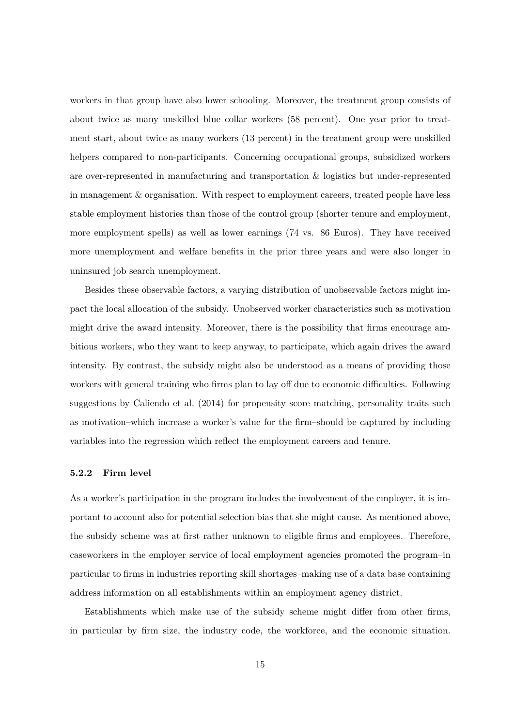workers in that group have also lower schooling. Moreover, the treatment group consists of about twice as many unskilled blue collar workers (58 percent). One year prior to treatment start, about twice as many workers (13 percent) in the treatment group were unskilled helpers compared to non-participants. Concerning occupational groups, subsidized workers are over-represented in manufacturing and transportation & logistics but under-represented in management & organisation. With respect to employment careers, treated people have less stable employment histories than those of the control group (shorter tenure and employment, more employment spells) as well as lower earnings (74 vs. 86 Euros). They have received more unemployment and welfare benefits in the prior three years and were also longer in uninsured job search unemployment.

Besides these observable factors, a varying distribution of unobservable factors might impact the local allocation of the subsidy. Unobserved worker characteristics such as motivation might drive the award intensity. Moreover, there is the possibility that firms encourage ambitious workers, who they want to keep anyway, to participate, which again drives the award intensity. By contrast, the subsidy might also be understood as a means of providing those workers with general training who firms plan to lay off due to economic difficulties. Following suggestions by Caliendo et al. (2014) for propensity score matching, personality traits such as motivation–which increase a worker's value for the firm–should be captured by including variables into the regression which reflect the employment careers and tenure.

#### **5.2.2 Firm level**

As a worker's participation in the program includes the involvement of the employer, it is important to account also for potential selection bias that she might cause. As mentioned above, the subsidy scheme was at first rather unknown to eligible firms and employees. Therefore, caseworkers in the employer service of local employment agencies promoted the program–in particular to firms in industries reporting skill shortages–making use of a data base containing address information on all establishments within an employment agency district.

Establishments which make use of the subsidy scheme might differ from other firms, in particular by firm size, the industry code, the workforce, and the economic situation.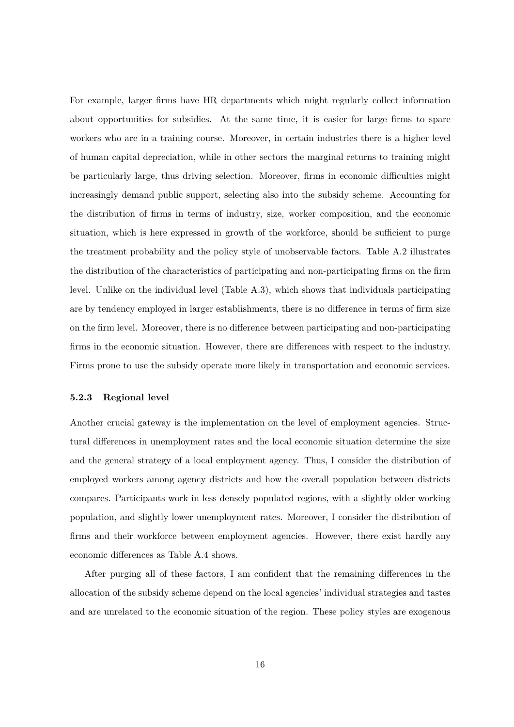For example, larger firms have HR departments which might regularly collect information about opportunities for subsidies. At the same time, it is easier for large firms to spare workers who are in a training course. Moreover, in certain industries there is a higher level of human capital depreciation, while in other sectors the marginal returns to training might be particularly large, thus driving selection. Moreover, firms in economic difficulties might increasingly demand public support, selecting also into the subsidy scheme. Accounting for the distribution of firms in terms of industry, size, worker composition, and the economic situation, which is here expressed in growth of the workforce, should be sufficient to purge the treatment probability and the policy style of unobservable factors. Table A.2 illustrates the distribution of the characteristics of participating and non-participating firms on the firm level. Unlike on the individual level (Table A.3), which shows that individuals participating are by tendency employed in larger establishments, there is no difference in terms of firm size on the firm level. Moreover, there is no difference between participating and non-participating firms in the economic situation. However, there are differences with respect to the industry. Firms prone to use the subsidy operate more likely in transportation and economic services.

### **5.2.3 Regional level**

Another crucial gateway is the implementation on the level of employment agencies. Structural differences in unemployment rates and the local economic situation determine the size and the general strategy of a local employment agency. Thus, I consider the distribution of employed workers among agency districts and how the overall population between districts compares. Participants work in less densely populated regions, with a slightly older working population, and slightly lower unemployment rates. Moreover, I consider the distribution of firms and their workforce between employment agencies. However, there exist hardly any economic differences as Table A.4 shows.

After purging all of these factors, I am confident that the remaining differences in the allocation of the subsidy scheme depend on the local agencies' individual strategies and tastes and are unrelated to the economic situation of the region. These policy styles are exogenous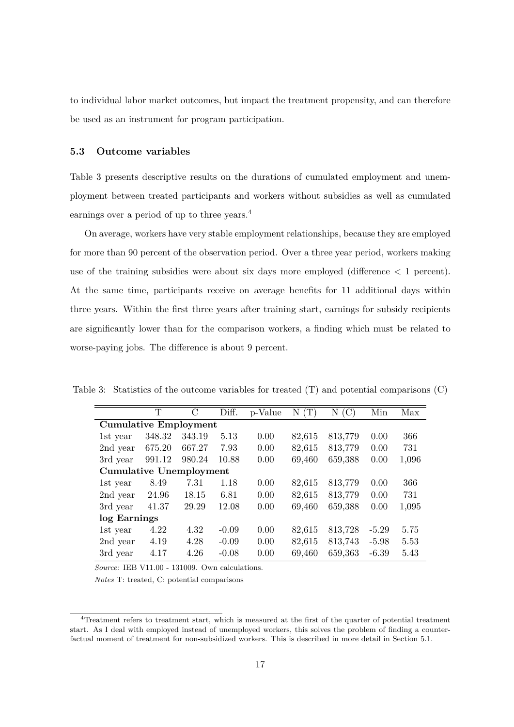to individual labor market outcomes, but impact the treatment propensity, and can therefore be used as an instrument for program participation.

#### **5.3 Outcome variables**

Table 3 presents descriptive results on the durations of cumulated employment and unemployment between treated participants and workers without subsidies as well as cumulated earnings over a period of up to three years.<sup>4</sup>

On average, workers have very stable employment relationships, because they are employed for more than 90 percent of the observation period. Over a three year period, workers making use of the training subsidies were about six days more employed (difference  $\lt 1$  percent). At the same time, participants receive on average benefits for 11 additional days within three years. Within the first three years after training start, earnings for subsidy recipients are significantly lower than for the comparison workers, a finding which must be related to worse-paying jobs. The difference is about 9 percent.

|                                | Т      | $\mathcal{C}$ | Diff.   | p-Value | (T)<br>N | (C)<br>Ν | Min     | Max   |
|--------------------------------|--------|---------------|---------|---------|----------|----------|---------|-------|
| <b>Cumulative Employment</b>   |        |               |         |         |          |          |         |       |
| 1st year                       | 348.32 | 343.19        | 5.13    | 0.00    | 82,615   | 813,779  | 0.00    | 366   |
| 2nd year                       | 675.20 | 667.27        | 7.93    | 0.00    | 82,615   | 813,779  | 0.00    | 731   |
| 3rd year                       | 991.12 | 980.24        | 10.88   | 0.00    | 69,460   | 659,388  | 0.00    | 1,096 |
| <b>Cumulative Unemployment</b> |        |               |         |         |          |          |         |       |
| 1st year                       | 8.49   | 7.31          | 1.18    | 0.00    | 82,615   | 813,779  | 0.00    | 366   |
| 2nd year                       | 24.96  | 18.15         | 6.81    | 0.00    | 82,615   | 813,779  | 0.00    | 731   |
| 3rd year                       | 41.37  | 29.29         | 12.08   | 0.00    | 69,460   | 659,388  | 0.00    | 1,095 |
| log Earnings                   |        |               |         |         |          |          |         |       |
| 1st year                       | 4.22   | 4.32          | $-0.09$ | 0.00    | 82,615   | 813,728  | $-5.29$ | 5.75  |
| 2nd year                       | 4.19   | 4.28          | $-0.09$ | 0.00    | 82,615   | 813,743  | $-5.98$ | 5.53  |
| 3rd year                       | 4.17   | 4.26          | $-0.08$ | 0.00    | 69,460   | 659,363  | $-6.39$ | 5.43  |

Table 3: Statistics of the outcome variables for treated (T) and potential comparisons (C)

*Source:* IEB V11.00 - 131009. Own calculations.

*Notes* T: treated, C: potential comparisons

<sup>4</sup>Treatment refers to treatment start, which is measured at the first of the quarter of potential treatment start. As I deal with employed instead of unemployed workers, this solves the problem of finding a counterfactual moment of treatment for non-subsidized workers. This is described in more detail in Section 5.1.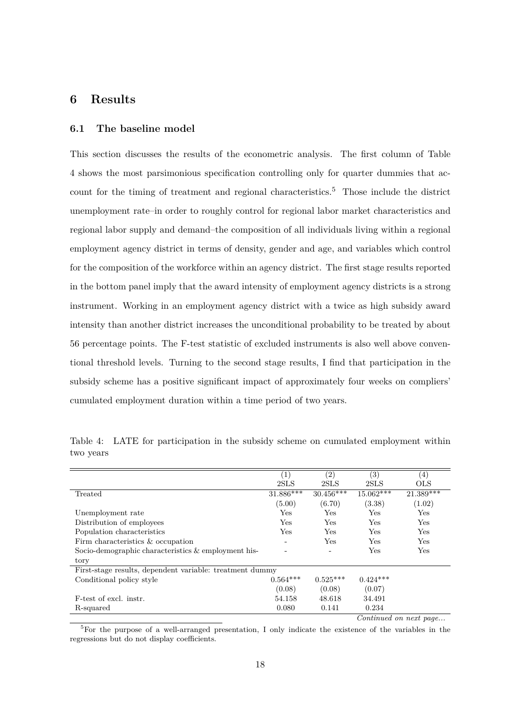# **6 Results**

### **6.1 The baseline model**

This section discusses the results of the econometric analysis. The first column of Table 4 shows the most parsimonious specification controlling only for quarter dummies that account for the timing of treatment and regional characteristics.<sup>5</sup> Those include the district unemployment rate–in order to roughly control for regional labor market characteristics and regional labor supply and demand–the composition of all individuals living within a regional employment agency district in terms of density, gender and age, and variables which control for the composition of the workforce within an agency district. The first stage results reported in the bottom panel imply that the award intensity of employment agency districts is a strong instrument. Working in an employment agency district with a twice as high subsidy award intensity than another district increases the unconditional probability to be treated by about 56 percentage points. The F-test statistic of excluded instruments is also well above conventional threshold levels. Turning to the second stage results, I find that participation in the subsidy scheme has a positive significant impact of approximately four weeks on compliers' cumulated employment duration within a time period of two years.

|                                                          | $\left( 1\right)$ | (2)         | $\left( 3\right)$ | $\left( 4\right)$ |
|----------------------------------------------------------|-------------------|-------------|-------------------|-------------------|
|                                                          | 2SLS              | 2SLS        | 2SLS              | <b>OLS</b>        |
| Treated                                                  | 31.886***         | $30.456***$ | $15.062***$       | $21.389***$       |
|                                                          | (5.00)            | (6.70)      | (3.38)            | (1.02)            |
| Unemployment rate                                        | Yes               | Yes         | Yes               | Yes               |
| Distribution of employees                                | Yes               | Yes         | Yes               | Yes               |
| Population characteristics                               | Yes               | Yes         | Yes               | Yes               |
| Firm characteristics & occupation                        |                   | Yes         | Yes               | Yes               |
| Socio-demographic characteristics & employment his-      |                   |             | Yes               | Yes               |
| tory                                                     |                   |             |                   |                   |
| First-stage results, dependent variable: treatment dummy |                   |             |                   |                   |
| Conditional policy style                                 | $0.564***$        | $0.525***$  | $0.424***$        |                   |
|                                                          | (0.08)            | (0.08)      | (0.07)            |                   |
| F-test of excl. instr.                                   | 54.158            | 48.618      | 34.491            |                   |
| R-squared                                                | 0.080             | 0.141       | 0.234             |                   |

Table 4: LATE for participation in the subsidy scheme on cumulated employment within two years

*Continued on next page...*

 ${}^{5}$ For the purpose of a well-arranged presentation, I only indicate the existence of the variables in the regressions but do not display coefficients.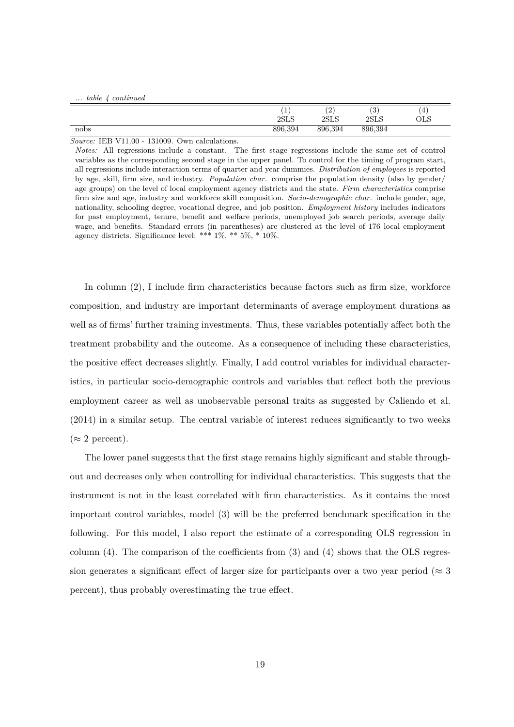|  |  |  |  | table 4 continued |
|--|--|--|--|-------------------|
|--|--|--|--|-------------------|

|      |                            | 2       | $\sim$              | $\Delta$          |
|------|----------------------------|---------|---------------------|-------------------|
|      | <b>.</b><br>2C1C<br>40 L D | 2SLS    | ◡<br>oet e<br>פידפי | I<br>$_{\rm OLS}$ |
| nobs | 896,394                    | 896,394 | 896,394             |                   |

*Notes:* All regressions include a constant. The first stage regressions include the same set of control variables as the corresponding second stage in the upper panel. To control for the timing of program start, all regressions include interaction terms of quarter and year dummies. *Distribution of employees* is reported by age, skill, firm size, and industry. *Population char.* comprise the population density (also by gender/ age groups) on the level of local employment agency districts and the state. *Firm characteristics* comprise firm size and age, industry and workforce skill composition. *Socio-demographic char.* include gender, age, nationality, schooling degree, vocational degree, and job position. *Employment history* includes indicators for past employment, tenure, benefit and welfare periods, unemployed job search periods, average daily wage, and benefits. Standard errors (in parentheses) are clustered at the level of 176 local employment agency districts. Significance level: \*\*\*  $1\%$ , \*\*  $5\%$ , \*  $10\%$ .

In column (2), I include firm characteristics because factors such as firm size, workforce composition, and industry are important determinants of average employment durations as well as of firms' further training investments. Thus, these variables potentially affect both the treatment probability and the outcome. As a consequence of including these characteristics, the positive effect decreases slightly. Finally, I add control variables for individual characteristics, in particular socio-demographic controls and variables that reflect both the previous employment career as well as unobservable personal traits as suggested by Caliendo et al. (2014) in a similar setup. The central variable of interest reduces significantly to two weeks  $(\approx 2$  percent).

The lower panel suggests that the first stage remains highly significant and stable throughout and decreases only when controlling for individual characteristics. This suggests that the instrument is not in the least correlated with firm characteristics. As it contains the most important control variables, model (3) will be the preferred benchmark specification in the following. For this model, I also report the estimate of a corresponding OLS regression in column (4). The comparison of the coefficients from (3) and (4) shows that the OLS regression generates a significant effect of larger size for participants over a two year period ( $\approx 3$ ) percent), thus probably overestimating the true effect.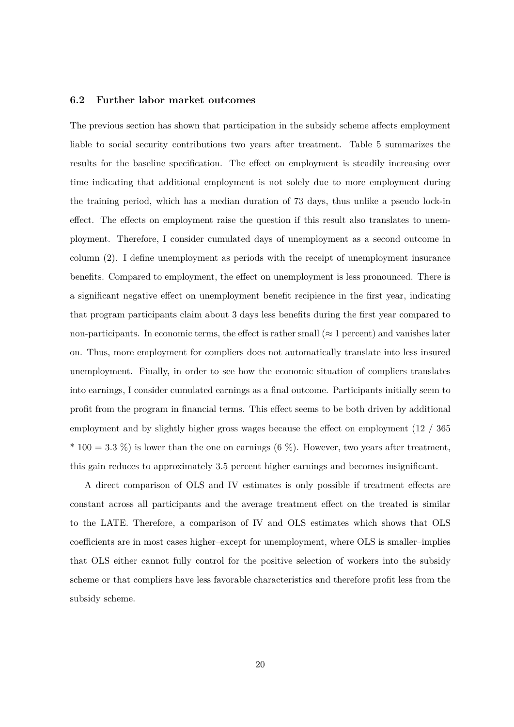### **6.2 Further labor market outcomes**

The previous section has shown that participation in the subsidy scheme affects employment liable to social security contributions two years after treatment. Table 5 summarizes the results for the baseline specification. The effect on employment is steadily increasing over time indicating that additional employment is not solely due to more employment during the training period, which has a median duration of 73 days, thus unlike a pseudo lock-in effect. The effects on employment raise the question if this result also translates to unemployment. Therefore, I consider cumulated days of unemployment as a second outcome in column (2). I define unemployment as periods with the receipt of unemployment insurance benefits. Compared to employment, the effect on unemployment is less pronounced. There is a significant negative effect on unemployment benefit recipience in the first year, indicating that program participants claim about 3 days less benefits during the first year compared to non-participants. In economic terms, the effect is rather small ( $\approx$  1 percent) and vanishes later on. Thus, more employment for compliers does not automatically translate into less insured unemployment. Finally, in order to see how the economic situation of compliers translates into earnings, I consider cumulated earnings as a final outcome. Participants initially seem to profit from the program in financial terms. This effect seems to be both driven by additional employment and by slightly higher gross wages because the effect on employment (12 / 365  $*$  100 = 3.3 %) is lower than the one on earnings (6 %). However, two years after treatment, this gain reduces to approximately 3.5 percent higher earnings and becomes insignificant.

A direct comparison of OLS and IV estimates is only possible if treatment effects are constant across all participants and the average treatment effect on the treated is similar to the LATE. Therefore, a comparison of IV and OLS estimates which shows that OLS coefficients are in most cases higher–except for unemployment, where OLS is smaller–implies that OLS either cannot fully control for the positive selection of workers into the subsidy scheme or that compliers have less favorable characteristics and therefore profit less from the subsidy scheme.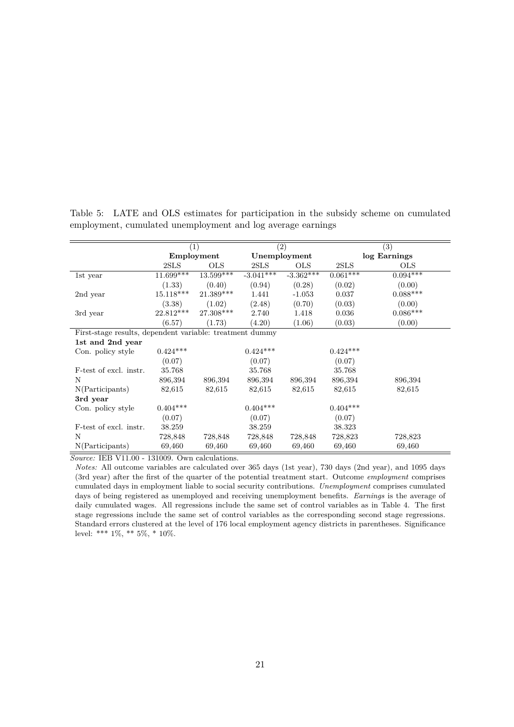|                                                          | $\left( 1\right)$ |              |             | (2)          | $\left( 3\right)$ |              |  |
|----------------------------------------------------------|-------------------|--------------|-------------|--------------|-------------------|--------------|--|
|                                                          |                   | Employment   |             | Unemployment |                   | log Earnings |  |
|                                                          | 2SLS              | $_{\rm OLS}$ | 2SLS        | <b>OLS</b>   | 2SLS              | $_{\rm OLS}$ |  |
| 1st year                                                 | $11.699***$       | $13.599***$  | $-3.041***$ | $-3.362***$  | $0.061***$        | $0.094***$   |  |
|                                                          | (1.33)            | (0.40)       | (0.94)      | (0.28)       | (0.02)            | (0.00)       |  |
| 2nd year                                                 | $15.118***$       | $21.389***$  | 1.441       | $-1.053$     | 0.037             | $0.088***$   |  |
|                                                          | (3.38)            | (1.02)       | (2.48)      | (0.70)       | (0.03)            | (0.00)       |  |
| 3rd year                                                 | 22.812***         | 27.308***    | 2.740       | 1.418        | 0.036             | $0.086***$   |  |
|                                                          | (6.57)            | (1.73)       | (4.20)      | (1.06)       | (0.03)            | (0.00)       |  |
| First-stage results, dependent variable: treatment dummy |                   |              |             |              |                   |              |  |
| 1st and 2nd year                                         |                   |              |             |              |                   |              |  |
| Con. policy style                                        | $0.424***$        |              | $0.424***$  |              | $0.424***$        |              |  |
|                                                          | (0.07)            |              | (0.07)      |              | (0.07)            |              |  |
| F-test of excl. instr.                                   | 35.768            |              | 35.768      |              | 35.768            |              |  |
| N                                                        | 896,394           | 896,394      | 896,394     | 896,394      | 896,394           | 896,394      |  |
| N(Participants)                                          | 82,615            | 82,615       | 82,615      | 82,615       | 82,615            | 82,615       |  |
| 3rd year                                                 |                   |              |             |              |                   |              |  |
| Con. policy style                                        | $0.404***$        |              | $0.404***$  |              | $0.404***$        |              |  |
|                                                          | (0.07)            |              | (0.07)      |              | (0.07)            |              |  |
| F-test of excl. instr.                                   | 38.259            |              | 38.259      |              | 38.323            |              |  |
| N                                                        | 728,848           | 728,848      | 728,848     | 728,848      | 728,823           | 728,823      |  |
| N(Participants)                                          | 69,460            | 69,460       | 69,460      | 69,460       | 69,460            | 69,460       |  |

Table 5: LATE and OLS estimates for participation in the subsidy scheme on cumulated employment, cumulated unemployment and log average earnings

*Notes:* All outcome variables are calculated over 365 days (1st year), 730 days (2nd year), and 1095 days (3rd year) after the first of the quarter of the potential treatment start. Outcome *employment* comprises cumulated days in employment liable to social security contributions. *Unemployment* comprises cumulated days of being registered as unemployed and receiving unemployment benefits. *Earnings* is the average of daily cumulated wages. All regressions include the same set of control variables as in Table 4. The first stage regressions include the same set of control variables as the corresponding second stage regressions. Standard errors clustered at the level of 176 local employment agency districts in parentheses. Significance level: \*\*\*  $1\%,$  \*\*  $5\%,$  \*  $10\%.$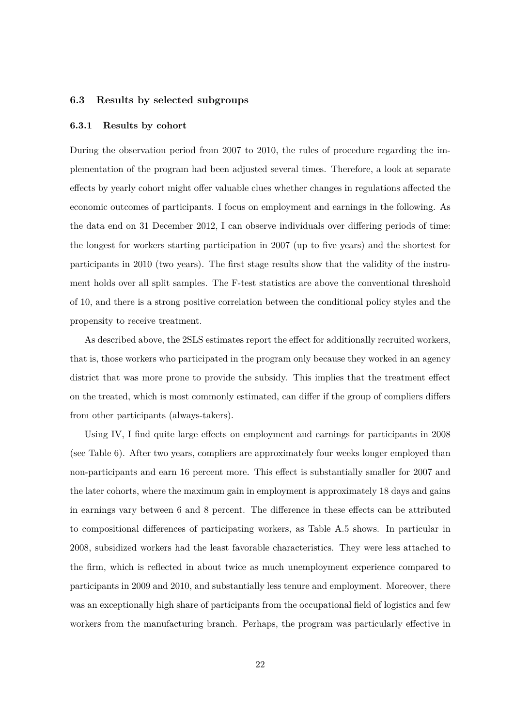### **6.3 Results by selected subgroups**

#### **6.3.1 Results by cohort**

During the observation period from 2007 to 2010, the rules of procedure regarding the implementation of the program had been adjusted several times. Therefore, a look at separate effects by yearly cohort might offer valuable clues whether changes in regulations affected the economic outcomes of participants. I focus on employment and earnings in the following. As the data end on 31 December 2012, I can observe individuals over differing periods of time: the longest for workers starting participation in 2007 (up to five years) and the shortest for participants in 2010 (two years). The first stage results show that the validity of the instrument holds over all split samples. The F-test statistics are above the conventional threshold of 10, and there is a strong positive correlation between the conditional policy styles and the propensity to receive treatment.

As described above, the 2SLS estimates report the effect for additionally recruited workers, that is, those workers who participated in the program only because they worked in an agency district that was more prone to provide the subsidy. This implies that the treatment effect on the treated, which is most commonly estimated, can differ if the group of compliers differs from other participants (always-takers).

Using IV, I find quite large effects on employment and earnings for participants in 2008 (see Table 6). After two years, compliers are approximately four weeks longer employed than non-participants and earn 16 percent more. This effect is substantially smaller for 2007 and the later cohorts, where the maximum gain in employment is approximately 18 days and gains in earnings vary between 6 and 8 percent. The difference in these effects can be attributed to compositional differences of participating workers, as Table A.5 shows. In particular in 2008, subsidized workers had the least favorable characteristics. They were less attached to the firm, which is reflected in about twice as much unemployment experience compared to participants in 2009 and 2010, and substantially less tenure and employment. Moreover, there was an exceptionally high share of participants from the occupational field of logistics and few workers from the manufacturing branch. Perhaps, the program was particularly effective in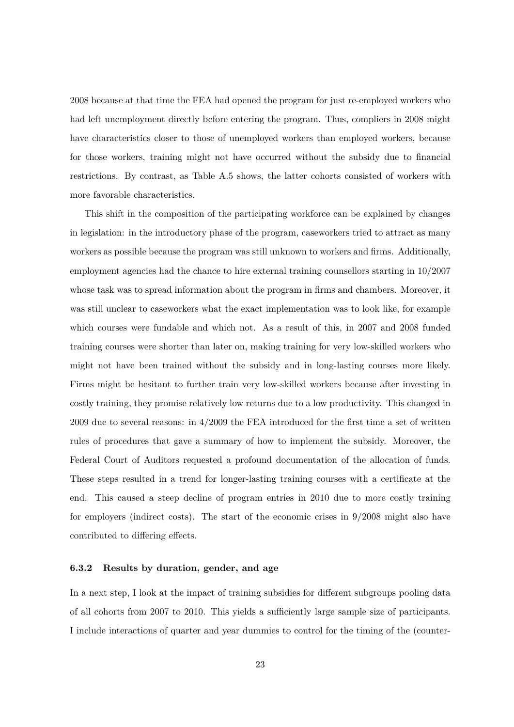2008 because at that time the FEA had opened the program for just re-employed workers who had left unemployment directly before entering the program. Thus, compliers in 2008 might have characteristics closer to those of unemployed workers than employed workers, because for those workers, training might not have occurred without the subsidy due to financial restrictions. By contrast, as Table A.5 shows, the latter cohorts consisted of workers with more favorable characteristics.

This shift in the composition of the participating workforce can be explained by changes in legislation: in the introductory phase of the program, caseworkers tried to attract as many workers as possible because the program was still unknown to workers and firms. Additionally, employment agencies had the chance to hire external training counsellors starting in 10/2007 whose task was to spread information about the program in firms and chambers. Moreover, it was still unclear to caseworkers what the exact implementation was to look like, for example which courses were fundable and which not. As a result of this, in 2007 and 2008 funded training courses were shorter than later on, making training for very low-skilled workers who might not have been trained without the subsidy and in long-lasting courses more likely. Firms might be hesitant to further train very low-skilled workers because after investing in costly training, they promise relatively low returns due to a low productivity. This changed in 2009 due to several reasons: in 4/2009 the FEA introduced for the first time a set of written rules of procedures that gave a summary of how to implement the subsidy. Moreover, the Federal Court of Auditors requested a profound documentation of the allocation of funds. These steps resulted in a trend for longer-lasting training courses with a certificate at the end. This caused a steep decline of program entries in 2010 due to more costly training for employers (indirect costs). The start of the economic crises in 9/2008 might also have contributed to differing effects.

### **6.3.2 Results by duration, gender, and age**

In a next step, I look at the impact of training subsidies for different subgroups pooling data of all cohorts from 2007 to 2010. This yields a sufficiently large sample size of participants. I include interactions of quarter and year dummies to control for the timing of the (counter-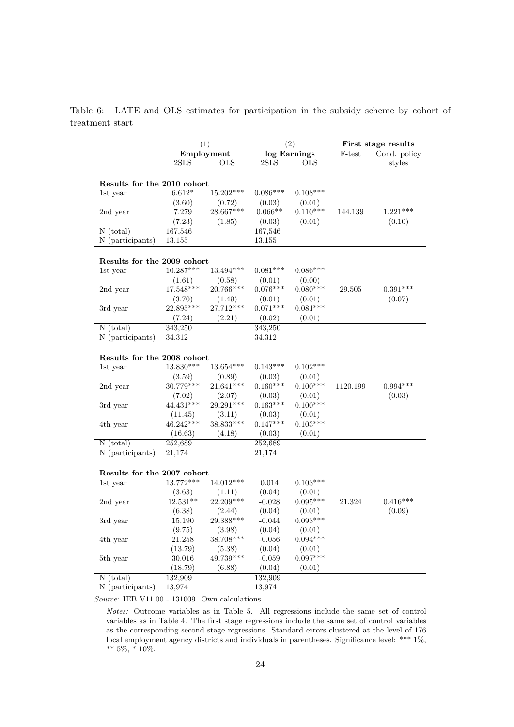Table 6: LATE and OLS estimates for participation in the subsidy scheme by cohort of treatment start

|                              |                        | (2)<br>(1)            |                      |                      |          | First stage results |
|------------------------------|------------------------|-----------------------|----------------------|----------------------|----------|---------------------|
|                              |                        | Employment            |                      | log Earnings         | F-test   | Cond. policy        |
|                              | 2SLS                   | <b>OLS</b>            | 2SLS                 | <b>OLS</b>           |          | styles              |
|                              |                        |                       |                      |                      |          |                     |
| Results for the 2010 cohort  |                        |                       |                      |                      |          |                     |
| 1st year                     | $6.612*$               | $15.202***$           | $0.086***$           | $0.108***$           |          |                     |
|                              | (3.60)                 | (0.72)                | (0.03)               | (0.01)               |          |                     |
| 2nd year                     | 7.279                  | 28.667***             | $0.066**$            | $0.110***$           | 144.139  | $1.221***$          |
|                              | (7.23)                 | (1.85)                | (0.03)               | (0.01)               |          | (0.10)              |
| $N$ (total)                  | 167,546                |                       | 167,546              |                      |          |                     |
| N (participants)             | 13,155                 |                       | 13,155               |                      |          |                     |
|                              |                        |                       |                      |                      |          |                     |
| Results for the 2009 cohort  |                        |                       |                      |                      |          |                     |
| 1st year                     | $10.287***$            | 13.494***             | $0.081***$           | $0.086***$           |          |                     |
|                              | (1.61)                 | (0.58)                | (0.01)               | (0.00)               |          |                     |
| 2nd year                     | 17.548***              | 20.766***             | $0.076***$           | $0.080***$           | 29.505   | $0.391***$          |
|                              | (3.70)                 | (1.49)                | (0.01)               | (0.01)               |          | (0.07)              |
| 3rd year                     | $22.895***$            | 27.712***             | $0.071***$           | $0.081***$           |          |                     |
|                              | (7.24)                 | (2.21)                | (0.02)               | (0.01)               |          |                     |
| $N$ (total)                  | 343,250                |                       | 343,250              |                      |          |                     |
| N (participants)             | 34,312                 |                       | 34,312               |                      |          |                     |
|                              |                        |                       |                      |                      |          |                     |
| Results for the 2008 cohort  |                        |                       |                      |                      |          |                     |
| 1st year                     | $13.830***$            | $13.654***$           | $0.143***$           | $0.102***$           |          |                     |
|                              | (3.59)                 | (0.89)                | (0.03)               | (0.01)               |          |                     |
| 2nd year                     | $30.779***$            | 21.641***             | $0.160***$           | $0.100***$           | 1120.199 | $0.994***$          |
|                              | (7.02)                 | (2.07)                | (0.03)               | (0.01)               |          | (0.03)              |
|                              | $44.431***$            | 29.291***             | $0.163***$           | $0.100***$           |          |                     |
| 3rd year                     |                        |                       |                      |                      |          |                     |
|                              | (11.45)<br>$46.242***$ | (3.11)<br>$38.833***$ | (0.03)<br>$0.147***$ | (0.01)<br>$0.103***$ |          |                     |
| 4th year                     |                        |                       |                      |                      |          |                     |
|                              | (16.63)                | (4.18)                | (0.03)               | (0.01)               |          |                     |
| $N$ (total)                  | 252,689                |                       | 252,689              |                      |          |                     |
| N (participants)             | 21,174                 |                       | 21,174               |                      |          |                     |
|                              |                        |                       |                      |                      |          |                     |
| Results for the 2007 cohort  |                        |                       |                      |                      |          |                     |
| 1st year                     | 13.772***              | 14.012***             | 0.014                | $0.103***$           |          |                     |
|                              | (3.63)                 | (1.11)                | (0.04)               | (0.01)               |          |                     |
| 2nd year                     | $12.531**$             | $22.209***$           | $-0.028$             | $0.095***$           | 21.324   | $0.416***$          |
|                              | (6.38)                 | (2.44)                | (0.04)               | (0.01)               |          | (0.09)              |
| 3rd year                     | 15.190                 | 29.388***             | $-0.044$             | $0.093***$           |          |                     |
|                              | (9.75)                 | (3.98)                | (0.04)               | (0.01)               |          |                     |
| 4th year                     | 21.258                 | 38.708***             | $-0.056$             | $0.094***$           |          |                     |
|                              | (13.79)                | (5.38)                | (0.04)               | (0.01)               |          |                     |
| 5th year                     | 30.016                 | 49.739***             | $-0.059$             | $0.097***$           |          |                     |
|                              | (18.79)                | (6.88)                | (0.04)               | (0.01)               |          |                     |
| $N$ (total)                  | 132,909                |                       | 132,909              |                      |          |                     |
| N (participants)             | 13,974                 |                       | 13,974               |                      |          |                     |
| <b>IED V<sub>11</sub> 00</b> | 121000                 |                       |                      |                      |          |                     |

*Notes:* Outcome variables as in Table 5. All regressions include the same set of control variables as in Table 4. The first stage regressions include the same set of control variables as the corresponding second stage regressions. Standard errors clustered at the level of 176 local employment agency districts and individuals in parentheses. Significance level: \*\*\* 1%, \*\* 5%, \* 10%.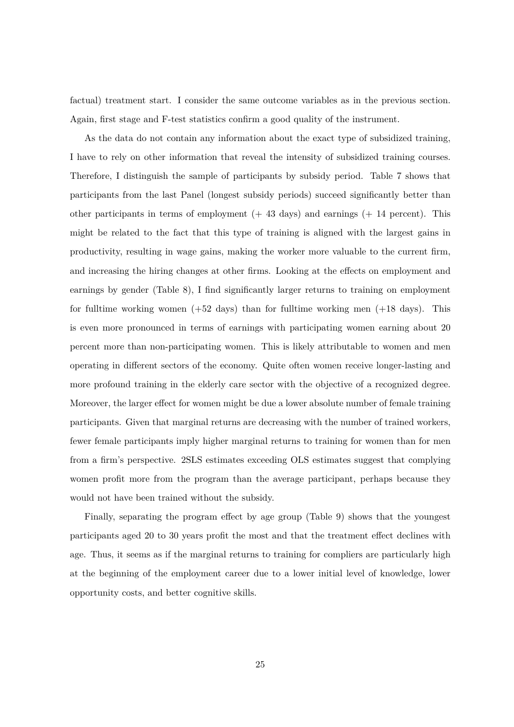factual) treatment start. I consider the same outcome variables as in the previous section. Again, first stage and F-test statistics confirm a good quality of the instrument.

As the data do not contain any information about the exact type of subsidized training, I have to rely on other information that reveal the intensity of subsidized training courses. Therefore, I distinguish the sample of participants by subsidy period. Table 7 shows that participants from the last Panel (longest subsidy periods) succeed significantly better than other participants in terms of employment  $(+ 43 \text{ days})$  and earnings  $(+ 14 \text{ percent})$ . This might be related to the fact that this type of training is aligned with the largest gains in productivity, resulting in wage gains, making the worker more valuable to the current firm, and increasing the hiring changes at other firms. Looking at the effects on employment and earnings by gender (Table 8), I find significantly larger returns to training on employment for fulltime working women  $(+52 \text{ days})$  than for fulltime working men  $(+18 \text{ days})$ . This is even more pronounced in terms of earnings with participating women earning about 20 percent more than non-participating women. This is likely attributable to women and men operating in different sectors of the economy. Quite often women receive longer-lasting and more profound training in the elderly care sector with the objective of a recognized degree. Moreover, the larger effect for women might be due a lower absolute number of female training participants. Given that marginal returns are decreasing with the number of trained workers, fewer female participants imply higher marginal returns to training for women than for men from a firm's perspective. 2SLS estimates exceeding OLS estimates suggest that complying women profit more from the program than the average participant, perhaps because they would not have been trained without the subsidy.

Finally, separating the program effect by age group (Table 9) shows that the youngest participants aged 20 to 30 years profit the most and that the treatment effect declines with age. Thus, it seems as if the marginal returns to training for compliers are particularly high at the beginning of the employment career due to a lower initial level of knowledge, lower opportunity costs, and better cognitive skills.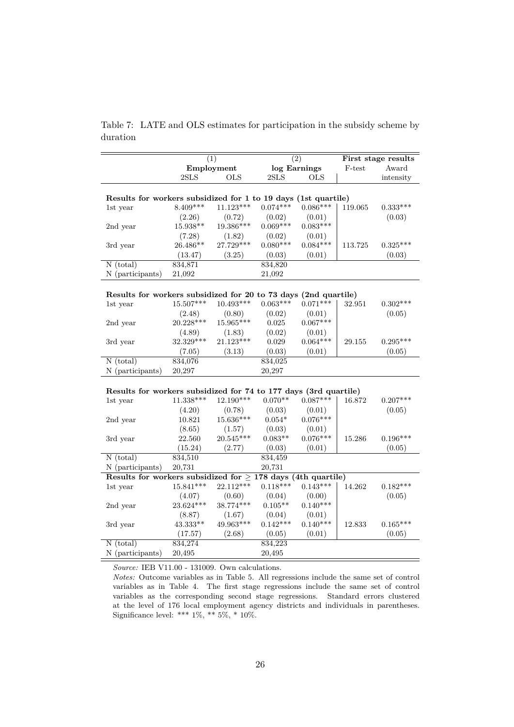Table 7: LATE and OLS estimates for participation in the subsidy scheme by duration

|                                                                   |             | $\overline{(1)}$ | $\overline{(2)}$ |              |           | First stage results |
|-------------------------------------------------------------------|-------------|------------------|------------------|--------------|-----------|---------------------|
|                                                                   |             | Employment       |                  | log Earnings | $F$ -test | Award               |
|                                                                   | 2SLS        | <b>OLS</b>       | 2SLS             | <b>OLS</b>   |           | intensity           |
|                                                                   |             |                  |                  |              |           |                     |
| Results for workers subsidized for 1 to 19 days (1st quartile)    |             |                  |                  |              |           |                     |
| 1st year                                                          | $8.409***$  | $11.123***$      | $0.074***$       | $0.086***$   | 119.065   | $0.333***$          |
|                                                                   | (2.26)      | (0.72)           | (0.02)           | (0.01)       |           | (0.03)              |
| 2nd year                                                          | 15.938**    | 19.386***        | $0.069***$       | $0.083***$   |           |                     |
|                                                                   | (7.28)      | (1.82)           | (0.02)           | (0.01)       |           |                     |
| 3rd year                                                          | 26.486**    | 27.729***        | $0.080***$       | $0.084***$   | 113.725   | $0.325***$          |
|                                                                   | (13.47)     | (3.25)           | (0.03)           | (0.01)       |           | (0.03)              |
| $N$ (total)                                                       | 834,871     |                  | 834,820          |              |           |                     |
| N (participants)                                                  | 21,092      |                  | 21,092           |              |           |                     |
|                                                                   |             |                  |                  |              |           |                     |
| Results for workers subsidized for 20 to 73 days (2nd quartile)   |             |                  |                  |              |           |                     |
| 1st year                                                          | 15.507***   | $10.493***$      | $0.063***$       | $0.071***$   | 32.951    | $0.302***$          |
|                                                                   | (2.48)      | (0.80)           | (0.02)           | (0.01)       |           | (0.05)              |
| 2nd year                                                          | 20.228***   | 15.965***        | 0.025            | $0.067***$   |           |                     |
|                                                                   | (4.89)      | (1.83)           | (0.02)           | (0.01)       |           |                     |
| 3rd year                                                          | 32.329***   | 21.123***        | 0.029            | $0.064***$   | 29.155    | $0.295***$          |
|                                                                   | (7.05)      | (3.13)           | (0.03)           | (0.01)       |           | (0.05)              |
| $\overline{N (total)}$                                            | 834,076     |                  | 834,025          |              |           |                     |
| N (participants)                                                  | 20,297      |                  | 20,297           |              |           |                     |
|                                                                   |             |                  |                  |              |           |                     |
| Results for workers subsidized for 74 to 177 days (3rd quartile)  |             |                  |                  |              |           |                     |
| 1st year                                                          | 11.338***   | $12.190***$      | $0.070**$        | $0.087***$   | 16.872    | $0.207***$          |
|                                                                   | (4.20)      | (0.78)           | (0.03)           | (0.01)       |           | (0.05)              |
| 2nd year                                                          | 10.821      | $15.636***$      | $0.054*$         | $0.076***$   |           |                     |
|                                                                   | (8.65)      | (1.57)           | (0.03)           | (0.01)       |           |                     |
| 3rd year                                                          | 22.560      | $20.545***$      | $0.083**$        | $0.076***$   | 15.286    | $0.196***$          |
|                                                                   | (15.24)     | (2.77)           | (0.03)           | (0.01)       |           | (0.05)              |
| $\overline{N (total)}$                                            | 834,510     |                  | 834,459          |              |           |                     |
| N (participants)                                                  | 20,731      |                  | 20,731           |              |           |                     |
| Results for workers subsidized for $\geq$ 178 days (4th quartile) |             |                  |                  |              |           |                     |
| 1st year                                                          | $15.841***$ | 22.112***        | $0.118***$       | $0.143***$   | 14.262    | $0.182***$          |
|                                                                   | (4.07)      | (0.60)           | (0.04)           | (0.00)       |           | (0.05)              |
| 2nd year                                                          | 23.624***   | 38.774***        | $0.105**$        | $0.140***$   |           |                     |
|                                                                   | (8.87)      | (1.67)           | (0.04)           | (0.01)       |           |                     |
| 3rd year                                                          | 43.333**    | 49.963***        | $0.142***$       | $0.140***$   | 12.833    | $0.165***$          |
|                                                                   | (17.57)     | (2.68)           | (0.05)           | (0.01)       |           | (0.05)              |
| $N$ (total)                                                       | 834,274     |                  | 834,223          |              |           |                     |
| N (participants)                                                  | 20,495      |                  | 20,495           |              |           |                     |

*Notes:* Outcome variables as in Table 5. All regressions include the same set of control variables as in Table 4. The first stage regressions include the same set of control variables as the corresponding second stage regressions. Standard errors clustered at the level of 176 local employment agency districts and individuals in parentheses. Significance level: \*\*\* 1%, \*\* 5%, \* 10%.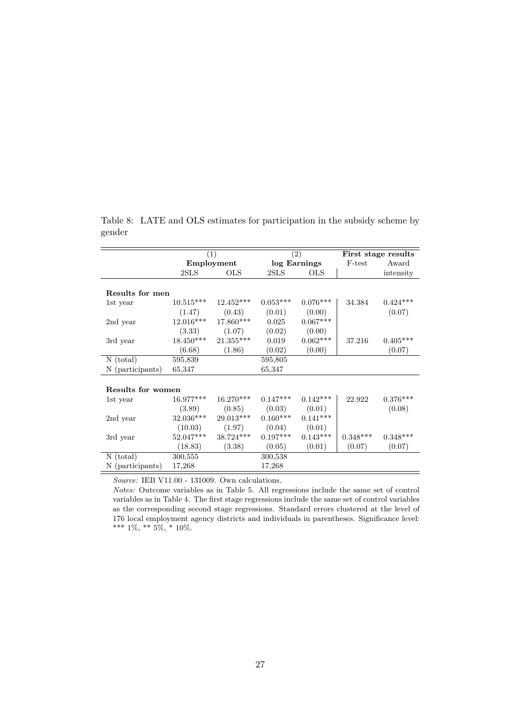|                   |             | (1)          |              | (2)             | First stage results |            |  |
|-------------------|-------------|--------------|--------------|-----------------|---------------------|------------|--|
|                   |             | Employment   | log Earnings |                 | F-test              | Award      |  |
|                   | 2SLS        | $_{\rm OLS}$ | 2SLS         | <b>OLS</b>      |                     | intensity  |  |
|                   |             |              |              |                 |                     |            |  |
| Results for men   |             |              |              |                 |                     |            |  |
| 1st year          | $10.515***$ | $12.452***$  | $0.053***$   | $0.076***$      | 34.384              | $0.424***$ |  |
|                   | (1.47)      | (0.43)       | (0.01)       | (0.00)          |                     | (0.07)     |  |
| 2nd year          | 12.016***   | 17.860***    | 0.025        | $0.067***$      |                     |            |  |
|                   | (3.33)      | (1.07)       | (0.02)       | (0.00)          |                     |            |  |
| 3rd year          | 18.450***   | $21.355***$  | 0.019        | $0.062^{***}\,$ | 37.216              | $0.405***$ |  |
|                   | (6.68)      | (1.86)       | (0.02)       | (0.00)          |                     | (0.07)     |  |
| $N$ (total)       | 595,839     |              | 595,805      |                 |                     |            |  |
| N (participants)  | 65,347      |              | 65,347       |                 |                     |            |  |
|                   |             |              |              |                 |                     |            |  |
| Results for women |             |              |              |                 |                     |            |  |
| 1st year          | $16.977***$ | $16.270***$  | $0.147***$   | $0.142***$      | 22.922              | $0.376***$ |  |
|                   | (3.89)      | (0.85)       | (0.03)       | (0.01)          |                     | (0.08)     |  |
| 2nd year          | $32.036***$ | $29.013***$  | $0.160***$   | $0.141***$      |                     |            |  |
|                   | (10.03)     | (1.97)       | (0.04)       | (0.01)          |                     |            |  |
| 3rd year          | $52.047***$ | $38.724***$  | $0.197***$   | $0.143***$      | $0.348***$          | $0.348***$ |  |
|                   | (18.83)     | (3.38)       | (0.05)       | (0.01)          | (0.07)              | (0.07)     |  |
| $N$ (total)       | 300,555     |              | 300,538      |                 |                     |            |  |
| N (participants)  | 17,268      |              | 17,268       |                 |                     |            |  |
|                   |             |              |              |                 |                     |            |  |

Table 8: LATE and OLS estimates for participation in the subsidy scheme by gender

*Notes:* Outcome variables as in Table 5. All regressions include the same set of control variables as in Table 4. The first stage regressions include the same set of control variables as the corresponding second stage regressions. Standard errors clustered at the level of 176 local employment agency districts and individuals in parentheses. Significance level: \*\*\* 1%, \*\* 5%, \* 10%.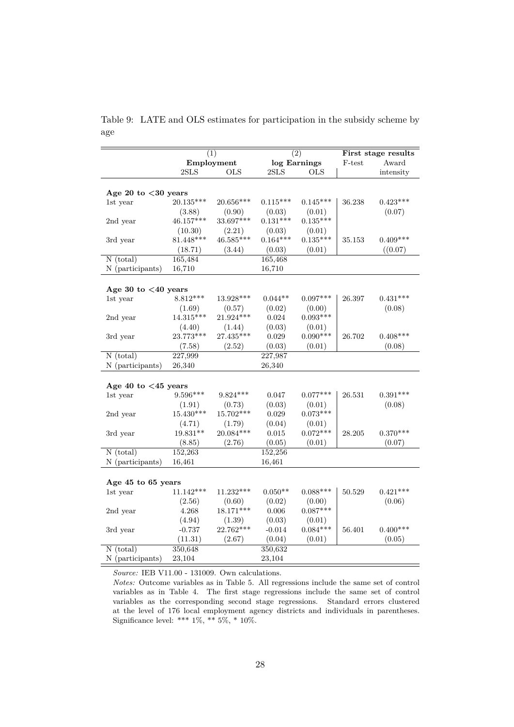Table 9: LATE and OLS estimates for participation in the subsidy scheme by age

|                               |             | (1)         | $\overline{(2)}$ |              |        | First stage results |
|-------------------------------|-------------|-------------|------------------|--------------|--------|---------------------|
|                               |             | Employment  |                  | log Earnings | F-test | Award               |
|                               | 2SLS        | <b>OLS</b>  | 2SLS             | <b>OLS</b>   |        | intensity           |
|                               |             |             |                  |              |        |                     |
| Age 20 to $<$ 30 years        |             |             |                  |              |        |                     |
| 1st year                      | $20.135***$ | 20.656***   | $0.115***$       | $0.145***$   | 36.238 | $0.423***$          |
|                               | (3.88)      | (0.90)      | (0.03)           | (0.01)       |        | (0.07)              |
| 2nd year                      | 46.157***   | 33.697***   | $0.131***$       | $0.135***$   |        |                     |
|                               | (10.30)     | (2.21)      | (0.03)           | (0.01)       |        |                     |
| 3rd year                      | $81.448***$ | $46.585***$ | $0.164***$       | $0.135***$   | 35.153 | $0.409***$          |
|                               | (18.71)     | (3.44)      | (0.03)           | (0.01)       |        | ((0.07)             |
| $N$ (total)                   | 165,484     |             | 165,468          |              |        |                     |
| N (participants)              | 16,710      |             | 16,710           |              |        |                     |
|                               |             |             |                  |              |        |                     |
| Age 30 to $<$ 40 years        |             |             |                  |              |        |                     |
| 1st year                      | $8.812***$  | 13.928***   | $0.044**$        | $0.097***$   | 26.397 | $0.431***$          |
|                               | (1.69)      | (0.57)      | (0.02)           | (0.00)       |        | (0.08)              |
| 2nd year                      | $14.315***$ | $21.924***$ | $\,0.024\,$      | $0.093***$   |        |                     |
|                               | (4.40)      | (1.44)      | (0.03)           | (0.01)       |        |                     |
| $3rd$ year                    | 23.773***   | $27.435***$ | 0.029            | $0.090***$   | 26.702 | $0.408***$          |
|                               | (7.58)      | (2.52)      | (0.03)           | (0.01)       |        | (0.08)              |
| $N$ (total)                   | 227,999     |             | 227,987          |              |        |                     |
| N (participants)              | 26,340      |             | 26,340           |              |        |                     |
|                               |             |             |                  |              |        |                     |
| Age 40 to $<$ 45 years        |             |             |                  |              |        |                     |
| 1st year                      | $9.596***$  | $9.824***$  | 0.047            | $0.077***$   | 26.531 | $0.391***$          |
|                               | (1.91)      | (0.73)      | (0.03)           | (0.01)       |        | (0.08)              |
| 2nd year                      | $15.430***$ | 15.702***   | 0.029            | $0.073***$   |        |                     |
|                               | (4.71)      | (1.79)      | (0.04)           | (0.01)       |        |                     |
| $3rd$ year                    | 19.831**    | $20.084***$ | $\,0.015\,$      | $0.072***$   | 28.205 | $0.370***$          |
|                               | (8.85)      | (2.76)      | (0.05)           | (0.01)       |        | (0.07)              |
| $N$ (total)                   | 152,263     |             | 152,256          |              |        |                     |
| N (participants)              | 16,461      |             | 16,461           |              |        |                     |
|                               |             |             |                  |              |        |                     |
| Age 45 to 65 years            |             |             |                  |              |        |                     |
| 1st year                      | $11.142***$ | $11.232***$ | $0.050**$        | $0.088***$   | 50.529 | $0.421***$          |
|                               | (2.56)      | (0.60)      | (0.02)           | (0.00)       |        | (0.06)              |
| 2nd year                      | 4.268       | 18.171***   | 0.006            | $0.087***$   |        |                     |
|                               | (4.94)      | (1.39)      | (0.03)           | (0.01)       |        |                     |
| 3rd year                      | $-0.737$    | 22.762***   | $-0.014$         | $0.084***$   | 56.401 | $0.400***$          |
|                               | (11.31)     | (2.67)      | (0.04)           | (0.01)       |        | (0.05)              |
| $N \overline{\text{(total)}}$ | 350,648     |             | 350,632          |              |        |                     |
| N (participants)              | 23,104      |             | 23,104           |              |        |                     |
|                               |             |             |                  |              |        |                     |

*Notes:* Outcome variables as in Table 5. All regressions include the same set of control variables as in Table 4. The first stage regressions include the same set of control variables as the corresponding second stage regressions. Standard errors clustered at the level of 176 local employment agency districts and individuals in parentheses. Significance level: \*\*\*  $1\%$ , \*\*  $5\%$ , \*  $10\%$ .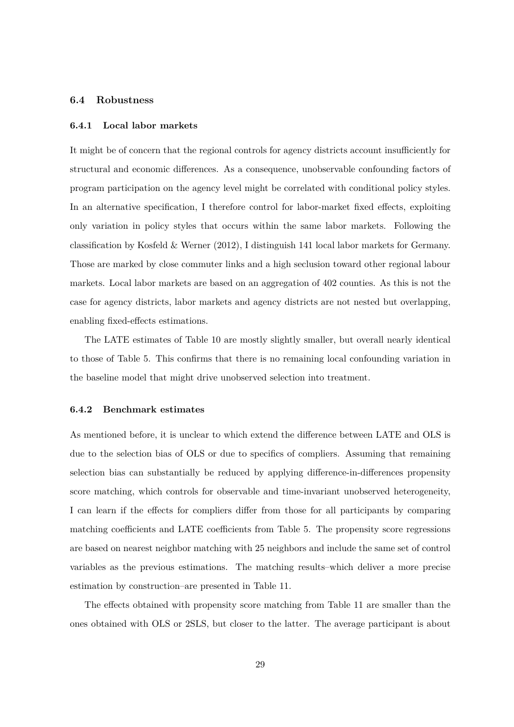### **6.4 Robustness**

#### **6.4.1 Local labor markets**

It might be of concern that the regional controls for agency districts account insufficiently for structural and economic differences. As a consequence, unobservable confounding factors of program participation on the agency level might be correlated with conditional policy styles. In an alternative specification, I therefore control for labor-market fixed effects, exploiting only variation in policy styles that occurs within the same labor markets. Following the classification by Kosfeld & Werner (2012), I distinguish 141 local labor markets for Germany. Those are marked by close commuter links and a high seclusion toward other regional labour markets. Local labor markets are based on an aggregation of 402 counties. As this is not the case for agency districts, labor markets and agency districts are not nested but overlapping, enabling fixed-effects estimations.

The LATE estimates of Table 10 are mostly slightly smaller, but overall nearly identical to those of Table 5. This confirms that there is no remaining local confounding variation in the baseline model that might drive unobserved selection into treatment.

#### **6.4.2 Benchmark estimates**

As mentioned before, it is unclear to which extend the difference between LATE and OLS is due to the selection bias of OLS or due to specifics of compliers. Assuming that remaining selection bias can substantially be reduced by applying difference-in-differences propensity score matching, which controls for observable and time-invariant unobserved heterogeneity, I can learn if the effects for compliers differ from those for all participants by comparing matching coefficients and LATE coefficients from Table 5. The propensity score regressions are based on nearest neighbor matching with 25 neighbors and include the same set of control variables as the previous estimations. The matching results–which deliver a more precise estimation by construction–are presented in Table 11.

The effects obtained with propensity score matching from Table 11 are smaller than the ones obtained with OLS or 2SLS, but closer to the latter. The average participant is about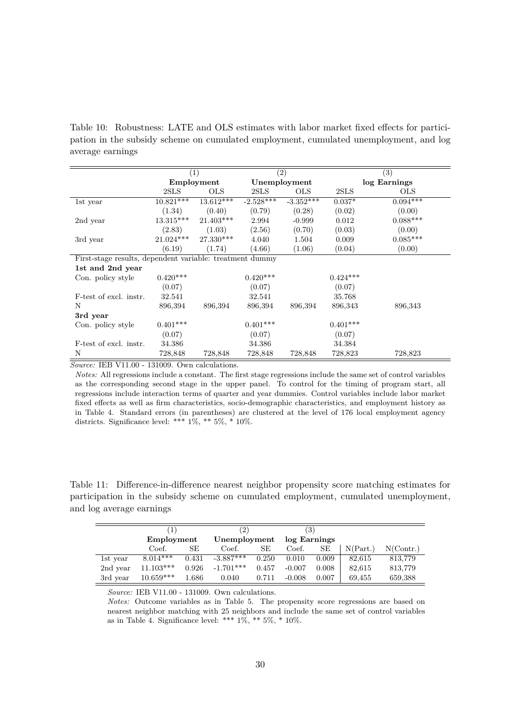Table 10: Robustness: LATE and OLS estimates with labor market fixed effects for participation in the subsidy scheme on cumulated employment, cumulated unemployment, and log average earnings

|                                                          | $\left( 1\right)$ |              |              | (2)         |            | (3)          |
|----------------------------------------------------------|-------------------|--------------|--------------|-------------|------------|--------------|
|                                                          |                   | Employment   | Unemployment |             |            | log Earnings |
|                                                          | 2SLS              | $_{\rm OLS}$ | 2SLS         | <b>OLS</b>  | 2SLS       | <b>OLS</b>   |
| 1st year                                                 | $10.821***$       | $13.612***$  | $-2.528***$  | $-3.352***$ | $0.037*$   | $0.094***$   |
|                                                          | (1.34)            | (0.40)       | (0.79)       | (0.28)      | (0.02)     | (0.00)       |
| 2nd year                                                 | $13.315***$       | $21.403***$  | 2.994        | $-0.999$    | 0.012      | $0.088***$   |
|                                                          | (2.83)            | (1.03)       | (2.56)       | (0.70)      | (0.03)     | (0.00)       |
| 3rd year                                                 | $21.024***$       | 27.330***    | 4.040        | 1.504       | 0.009      | $0.085***$   |
|                                                          | (6.19)            | (1.74)       | (4.66)       | (1.06)      | (0.04)     | (0.00)       |
| First-stage results, dependent variable: treatment dummy |                   |              |              |             |            |              |
| 1st and 2nd year                                         |                   |              |              |             |            |              |
| Con. policy style                                        | $0.420***$        |              | $0.420***$   |             | $0.424***$ |              |
|                                                          | (0.07)            |              | (0.07)       |             | (0.07)     |              |
| F-test of excl. instr.                                   | 32.541            |              | 32.541       |             | 35.768     |              |
| N                                                        | 896,394           | 896,394      | 896,394      | 896,394     | 896,343    | 896,343      |
| 3rd year                                                 |                   |              |              |             |            |              |
| Con. policy style                                        | $0.401***$        |              | $0.401***$   |             | $0.401***$ |              |
|                                                          | (0.07)            |              | (0.07)       |             | (0.07)     |              |
| F-test of excl. instr.                                   | 34.386            |              | 34.386       |             | 34.384     |              |
| N                                                        | 728,848           | 728,848      | 728,848      | 728,848     | 728,823    | 728,823      |

*Notes:* All regressions include a constant. The first stage regressions include the same set of control variables as the corresponding second stage in the upper panel. To control for the timing of program start, all regressions include interaction terms of quarter and year dummies. Control variables include labor market fixed effects as well as firm characteristics, socio-demographic characteristics, and employment history as in Table 4. Standard errors (in parentheses) are clustered at the level of 176 local employment agency districts. Significance level: \*\*\*  $1\%,$  \*\*  $5\%,$  \*  $10\%.$ 

Table 11: Difference-in-difference nearest neighbor propensity score matching estimates for participation in the subsidy scheme on cumulated employment, cumulated unemployment, and log average earnings

|          |             |       | $^{\prime}2)$ |       | (3)          |       |          |           |
|----------|-------------|-------|---------------|-------|--------------|-------|----------|-----------|
|          | Employment  |       | Unemployment  |       | log Earnings |       |          |           |
|          | Coef.       | SE    | Coef.         | SЕ    | Coef.        | SЕ    | N(Part.) | N(Contr.) |
| 1st year | $8.014***$  | 0.431 | $-3.887***$   | 0.250 | 0.010        | 0.009 | 82,615   | 813,779   |
| 2nd year | $11.103***$ | 0.926 | $-1.701***$   | 0.457 | $-0.007$     | 0.008 | 82,615   | 813,779   |
| 3rd year | $10.659***$ | 1.686 | 0.040         | 0.711 | $-0.008$     | 0.007 | 69.455   | 659,388   |

*Source:* IEB V11.00 - 131009. Own calculations.

*Notes:* Outcome variables as in Table 5. The propensity score regressions are based on nearest neighbor matching with 25 neighbors and include the same set of control variables as in Table 4. Significance level: \*\*\*  $1\%$ , \*\*  $5\%$ , \*  $10\%$ .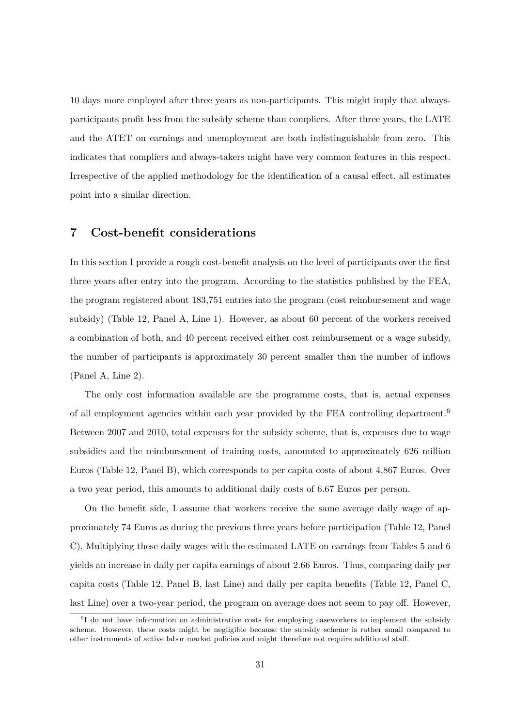10 days more employed after three years as non-participants. This might imply that alwaysparticipants profit less from the subsidy scheme than compliers. After three years, the LATE and the ATET on earnings and unemployment are both indistinguishable from zero. This indicates that compliers and always-takers might have very common features in this respect. Irrespective of the applied methodology for the identification of a causal effect, all estimates point into a similar direction.

# **7 Cost-benefit considerations**

In this section I provide a rough cost-benefit analysis on the level of participants over the first three years after entry into the program. According to the statistics published by the FEA, the program registered about 183,751 entries into the program (cost reimbursement and wage subsidy) (Table 12, Panel A, Line 1). However, as about 60 percent of the workers received a combination of both, and 40 percent received either cost reimbursement or a wage subsidy, the number of participants is approximately 30 percent smaller than the number of inflows (Panel A, Line 2).

The only cost information available are the programme costs, that is, actual expenses of all employment agencies within each year provided by the FEA controlling department.<sup>6</sup> Between 2007 and 2010, total expenses for the subsidy scheme, that is, expenses due to wage subsidies and the reimbursement of training costs, amounted to approximately 626 million Euros (Table 12, Panel B), which corresponds to per capita costs of about 4,867 Euros. Over a two year period, this amounts to additional daily costs of 6.67 Euros per person.

On the benefit side, I assume that workers receive the same average daily wage of approximately 74 Euros as during the previous three years before participation (Table 12, Panel C). Multiplying these daily wages with the estimated LATE on earnings from Tables 5 and 6 yields an increase in daily per capita earnings of about 2.66 Euros. Thus, comparing daily per capita costs (Table 12, Panel B, last Line) and daily per capita benefits (Table 12, Panel C, last Line) over a two-year period, the program on average does not seem to pay off. However,

<sup>&</sup>lt;sup>6</sup>I do not have information on administrative costs for employing caseworkers to implement the subsidy scheme. However, these costs might be negligible because the subsidy scheme is rather small compared to other instruments of active labor market policies and might therefore not require additional staff.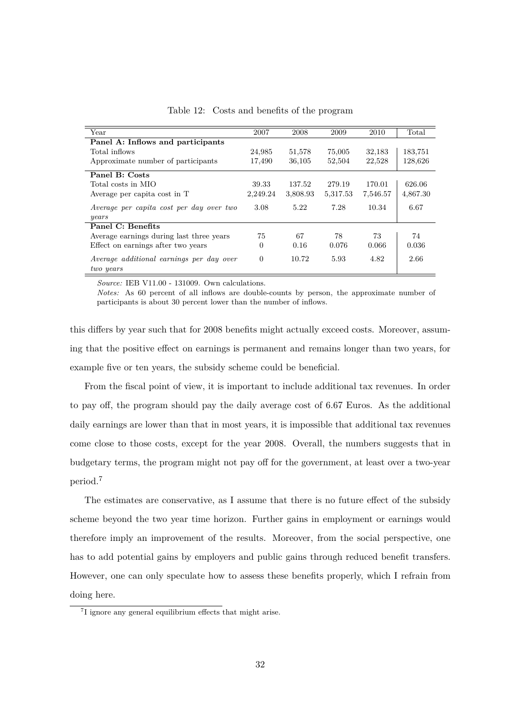| Year                                                  | 2007     | 2008     | 2009     | 2010     | Total    |
|-------------------------------------------------------|----------|----------|----------|----------|----------|
| Panel A: Inflows and participants                     |          |          |          |          |          |
| Total inflows                                         | 24,985   | 51,578   | 75,005   | 32,183   | 183,751  |
| Approximate number of participants                    | 17,490   | 36,105   | 52,504   | 22,528   | 128,626  |
| Panel B: Costs                                        |          |          |          |          |          |
| Total costs in MIO                                    | 39.33    | 137.52   | 279.19   | 170.01   | 626.06   |
| Average per capita cost in T                          | 2,249.24 | 3,808.93 | 5,317.53 | 7,546.57 | 4,867.30 |
| Average per capita cost per day over two              | 3.08     | 5.22     | 7.28     | 10.34    | 6.67     |
| years                                                 |          |          |          |          |          |
| Panel C: Benefits                                     |          |          |          |          |          |
| Average earnings during last three years              | 75       | 67       | 78       | 73       | 74       |
| Effect on earnings after two years                    | $\theta$ | 0.16     | 0.076    | 0.066    | 0.036    |
| Average additional earnings per day over<br>two years | $\Omega$ | 10.72    | 5.93     | 4.82     | 2.66     |

Table 12: Costs and benefits of the program

*Notes:* As 60 percent of all inflows are double-counts by person, the approximate number of participants is about 30 percent lower than the number of inflows.

this differs by year such that for 2008 benefits might actually exceed costs. Moreover, assuming that the positive effect on earnings is permanent and remains longer than two years, for example five or ten years, the subsidy scheme could be beneficial.

From the fiscal point of view, it is important to include additional tax revenues. In order to pay off, the program should pay the daily average cost of 6.67 Euros. As the additional daily earnings are lower than that in most years, it is impossible that additional tax revenues come close to those costs, except for the year 2008. Overall, the numbers suggests that in budgetary terms, the program might not pay off for the government, at least over a two-year period.<sup>7</sup>

The estimates are conservative, as I assume that there is no future effect of the subsidy scheme beyond the two year time horizon. Further gains in employment or earnings would therefore imply an improvement of the results. Moreover, from the social perspective, one has to add potential gains by employers and public gains through reduced benefit transfers. However, one can only speculate how to assess these benefits properly, which I refrain from doing here.

<sup>7</sup> I ignore any general equilibrium effects that might arise.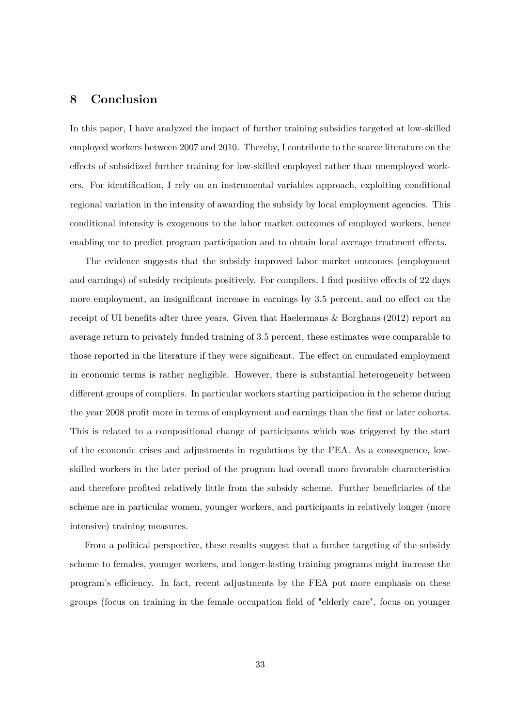# **8 Conclusion**

In this paper, I have analyzed the impact of further training subsidies targeted at low-skilled employed workers between 2007 and 2010. Thereby, I contribute to the scarce literature on the effects of subsidized further training for low-skilled employed rather than unemployed workers. For identification, I rely on an instrumental variables approach, exploiting conditional regional variation in the intensity of awarding the subsidy by local employment agencies. This conditional intensity is exogenous to the labor market outcomes of employed workers, hence enabling me to predict program participation and to obtain local average treatment effects.

The evidence suggests that the subsidy improved labor market outcomes (employment and earnings) of subsidy recipients positively. For compliers, I find positive effects of 22 days more employment, an insignificant increase in earnings by 3.5 percent, and no effect on the receipt of UI benefits after three years. Given that Haelermans & Borghans (2012) report an average return to privately funded training of 3.5 percent, these estimates were comparable to those reported in the literature if they were significant. The effect on cumulated employment in economic terms is rather negligible. However, there is substantial heterogeneity between different groups of compliers. In particular workers starting participation in the scheme during the year 2008 profit more in terms of employment and earnings than the first or later cohorts. This is related to a compositional change of participants which was triggered by the start of the economic crises and adjustments in regulations by the FEA. As a consequence, lowskilled workers in the later period of the program had overall more favorable characteristics and therefore profited relatively little from the subsidy scheme. Further beneficiaries of the scheme are in particular women, younger workers, and participants in relatively longer (more intensive) training measures.

From a political perspective, these results suggest that a further targeting of the subsidy scheme to females, younger workers, and longer-lasting training programs might increase the program's efficiency. In fact, recent adjustments by the FEA put more emphasis on these groups (focus on training in the female occupation field of "elderly care", focus on younger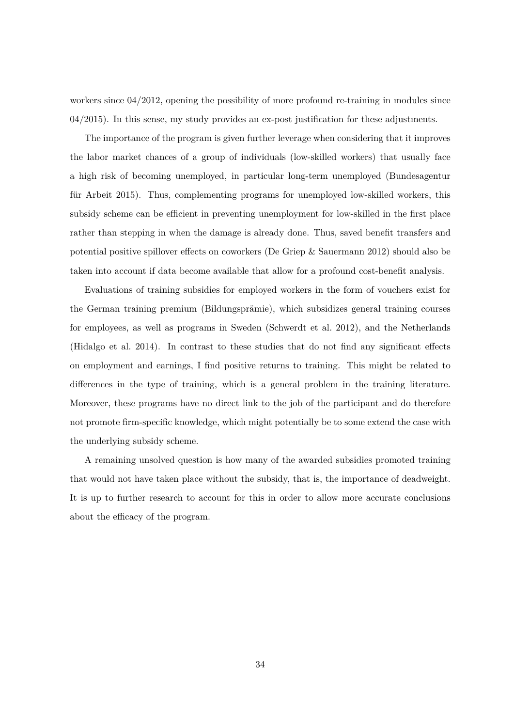workers since  $04/2012$ , opening the possibility of more profound re-training in modules since 04/2015). In this sense, my study provides an ex-post justification for these adjustments.

The importance of the program is given further leverage when considering that it improves the labor market chances of a group of individuals (low-skilled workers) that usually face a high risk of becoming unemployed, in particular long-term unemployed (Bundesagentur für Arbeit 2015). Thus, complementing programs for unemployed low-skilled workers, this subsidy scheme can be efficient in preventing unemployment for low-skilled in the first place rather than stepping in when the damage is already done. Thus, saved benefit transfers and potential positive spillover effects on coworkers (De Griep & Sauermann 2012) should also be taken into account if data become available that allow for a profound cost-benefit analysis.

Evaluations of training subsidies for employed workers in the form of vouchers exist for the German training premium (Bildungsprämie), which subsidizes general training courses for employees, as well as programs in Sweden (Schwerdt et al. 2012), and the Netherlands (Hidalgo et al. 2014). In contrast to these studies that do not find any significant effects on employment and earnings, I find positive returns to training. This might be related to differences in the type of training, which is a general problem in the training literature. Moreover, these programs have no direct link to the job of the participant and do therefore not promote firm-specific knowledge, which might potentially be to some extend the case with the underlying subsidy scheme.

A remaining unsolved question is how many of the awarded subsidies promoted training that would not have taken place without the subsidy, that is, the importance of deadweight. It is up to further research to account for this in order to allow more accurate conclusions about the efficacy of the program.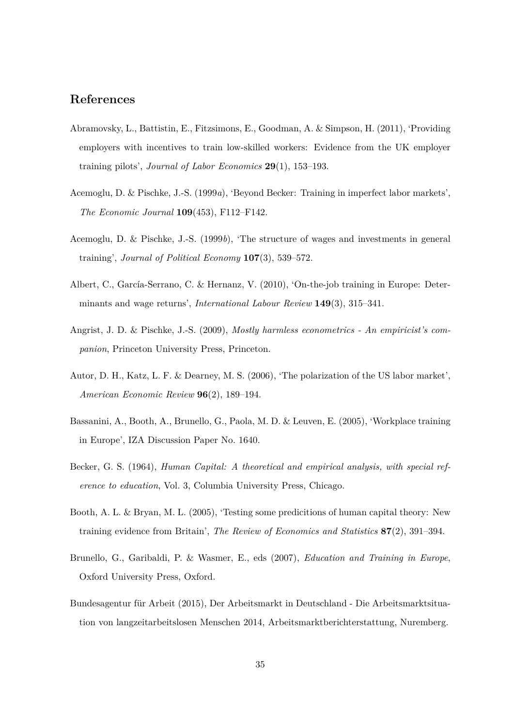# **References**

- Abramovsky, L., Battistin, E., Fitzsimons, E., Goodman, A. & Simpson, H. (2011), 'Providing employers with incentives to train low-skilled workers: Evidence from the UK employer training pilots', *Journal of Labor Economics* **29**(1), 153–193.
- Acemoglu, D. & Pischke, J.-S. (1999*a*), 'Beyond Becker: Training in imperfect labor markets', *The Economic Journal* **109**(453), F112–F142.
- Acemoglu, D. & Pischke, J.-S. (1999*b*), 'The structure of wages and investments in general training', *Journal of Political Economy* **107**(3), 539–572.
- Albert, C., García-Serrano, C. & Hernanz, V. (2010), 'On-the-job training in Europe: Determinants and wage returns', *International Labour Review* **149**(3), 315–341.
- Angrist, J. D. & Pischke, J.-S. (2009), *Mostly harmless econometrics An empiricist's companion*, Princeton University Press, Princeton.
- Autor, D. H., Katz, L. F. & Dearney, M. S. (2006), 'The polarization of the US labor market', *American Economic Review* **96**(2), 189–194.
- Bassanini, A., Booth, A., Brunello, G., Paola, M. D. & Leuven, E. (2005), 'Workplace training in Europe', IZA Discussion Paper No. 1640.
- Becker, G. S. (1964), *Human Capital: A theoretical and empirical analysis, with special reference to education*, Vol. 3, Columbia University Press, Chicago.
- Booth, A. L. & Bryan, M. L. (2005), 'Testing some predicitions of human capital theory: New training evidence from Britain', *The Review of Economics and Statistics* **87**(2), 391–394.
- Brunello, G., Garibaldi, P. & Wasmer, E., eds (2007), *Education and Training in Europe*, Oxford University Press, Oxford.
- Bundesagentur für Arbeit (2015), Der Arbeitsmarkt in Deutschland Die Arbeitsmarktsituation von langzeitarbeitslosen Menschen 2014, Arbeitsmarktberichterstattung, Nuremberg.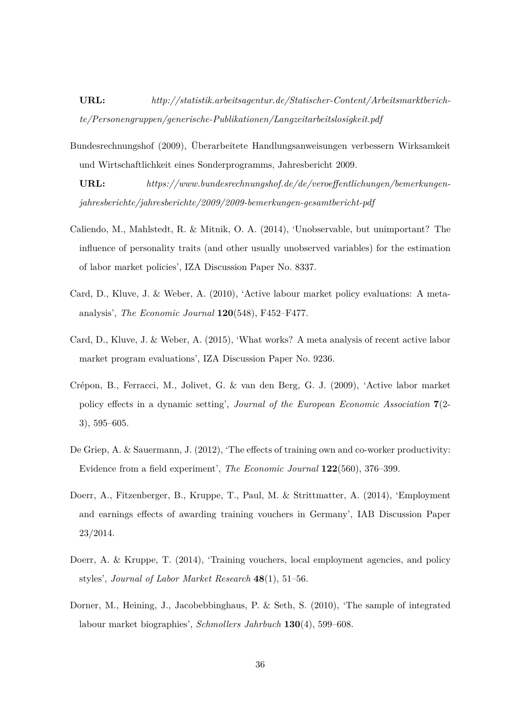**URL:** *http://statistik.arbeitsagentur.de/Statischer-Content/Arbeitsmarktberichte/Personengruppen/generische-Publikationen/Langzeitarbeitslosigkeit.pdf*

Bundesrechnungshof (2009), Überarbeitete Handlungsanweisungen verbessern Wirksamkeit und Wirtschaftlichkeit eines Sonderprogramms, Jahresbericht 2009.

**URL:** *https://www.bundesrechnungshof.de/de/veroeffentlichungen/bemerkungenjahresberichte/jahresberichte/2009/2009-bemerkungen-gesamtbericht-pdf*

- Caliendo, M., Mahlstedt, R. & Mitnik, O. A. (2014), 'Unobservable, but unimportant? The influence of personality traits (and other usually unobserved variables) for the estimation of labor market policies', IZA Discussion Paper No. 8337.
- Card, D., Kluve, J. & Weber, A. (2010), 'Active labour market policy evaluations: A metaanalysis', *The Economic Journal* **120**(548), F452–F477.
- Card, D., Kluve, J. & Weber, A. (2015), 'What works? A meta analysis of recent active labor market program evaluations', IZA Discussion Paper No. 9236.
- Crépon, B., Ferracci, M., Jolivet, G. & van den Berg, G. J. (2009), 'Active labor market policy effects in a dynamic setting', *Journal of the European Economic Association* **7**(2- 3), 595–605.
- De Griep, A. & Sauermann, J. (2012), 'The effects of training own and co-worker productivity: Evidence from a field experiment', *The Economic Journal* **122**(560), 376–399.
- Doerr, A., Fitzenberger, B., Kruppe, T., Paul, M. & Strittmatter, A. (2014), 'Employment and earnings effects of awarding training vouchers in Germany', IAB Discussion Paper 23/2014.
- Doerr, A. & Kruppe, T. (2014), 'Training vouchers, local employment agencies, and policy styles', *Journal of Labor Market Research* **48**(1), 51–56.
- Dorner, M., Heining, J., Jacobebbinghaus, P. & Seth, S. (2010), 'The sample of integrated labour market biographies', *Schmollers Jahrbuch* **130**(4), 599–608.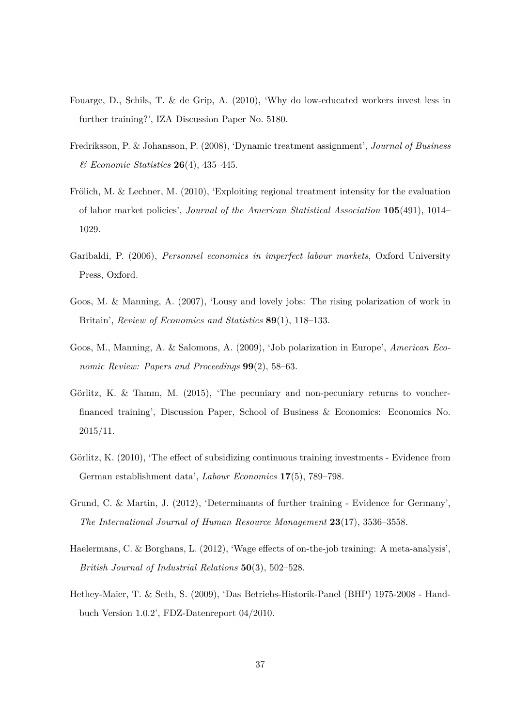- Fouarge, D., Schils, T. & de Grip, A. (2010), 'Why do low-educated workers invest less in further training?', IZA Discussion Paper No. 5180.
- Fredriksson, P. & Johansson, P. (2008), 'Dynamic treatment assignment', *Journal of Business & Economic Statistics* **26**(4), 435–445.
- Frölich, M. & Lechner, M. (2010), 'Exploiting regional treatment intensity for the evaluation of labor market policies', *Journal of the American Statistical Association* **105**(491), 1014– 1029.
- Garibaldi, P. (2006), *Personnel economics in imperfect labour markets*, Oxford University Press, Oxford.
- Goos, M. & Manning, A. (2007), 'Lousy and lovely jobs: The rising polarization of work in Britain', *Review of Economics and Statistics* **89**(1), 118–133.
- Goos, M., Manning, A. & Salomons, A. (2009), 'Job polarization in Europe', *American Economic Review: Papers and Proceedings* **99**(2), 58–63.
- Görlitz, K. & Tamm, M. (2015), 'The pecuniary and non-pecuniary returns to voucherfinanced training', Discussion Paper, School of Business & Economics: Economics No. 2015/11.
- Görlitz, K. (2010), 'The effect of subsidizing continuous training investments Evidence from German establishment data', *Labour Economics* **17**(5), 789–798.
- Grund, C. & Martin, J. (2012), 'Determinants of further training Evidence for Germany', *The International Journal of Human Resource Management* **23**(17), 3536–3558.
- Haelermans, C. & Borghans, L. (2012), 'Wage effects of on-the-job training: A meta-analysis', *British Journal of Industrial Relations* **50**(3), 502–528.
- Hethey-Maier, T. & Seth, S. (2009), 'Das Betriebs-Historik-Panel (BHP) 1975-2008 Handbuch Version 1.0.2', FDZ-Datenreport 04/2010.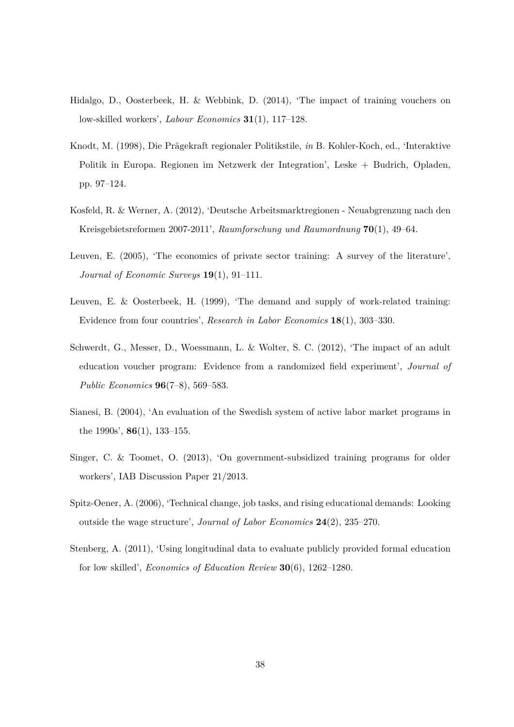- Hidalgo, D., Oosterbeek, H. & Webbink, D. (2014), 'The impact of training vouchers on low-skilled workers', *Labour Economics* **31**(1), 117–128.
- Knodt, M. (1998), Die Prägekraft regionaler Politikstile, *in* B. Kohler-Koch, ed., 'Interaktive Politik in Europa. Regionen im Netzwerk der Integration', Leske + Budrich, Opladen, pp. 97–124.
- Kosfeld, R. & Werner, A. (2012), 'Deutsche Arbeitsmarktregionen Neuabgrenzung nach den Kreisgebietsreformen 2007-2011', *Raumforschung und Raumordnung* **70**(1), 49–64.
- Leuven, E. (2005), 'The economics of private sector training: A survey of the literature', *Journal of Economic Surveys* **19**(1), 91–111.
- Leuven, E. & Oosterbeek, H. (1999), 'The demand and supply of work-related training: Evidence from four countries', *Research in Labor Economics* **18**(1), 303–330.
- Schwerdt, G., Messer, D., Woessmann, L. & Wolter, S. C. (2012), 'The impact of an adult education voucher program: Evidence from a randomized field experiment', *Journal of Public Economics* **96**(7–8), 569–583.
- Sianesi, B. (2004), 'An evaluation of the Swedish system of active labor market programs in the 1990s', **86**(1), 133–155.
- Singer, C. & Toomet, O. (2013), 'On government-subsidized training programs for older workers', IAB Discussion Paper 21/2013.
- Spitz-Oener, A. (2006), 'Technical change, job tasks, and rising educational demands: Looking outside the wage structure', *Journal of Labor Economics* **24**(2), 235–270.
- Stenberg, A. (2011), 'Using longitudinal data to evaluate publicly provided formal education for low skilled', *Economics of Education Review* **30**(6), 1262–1280.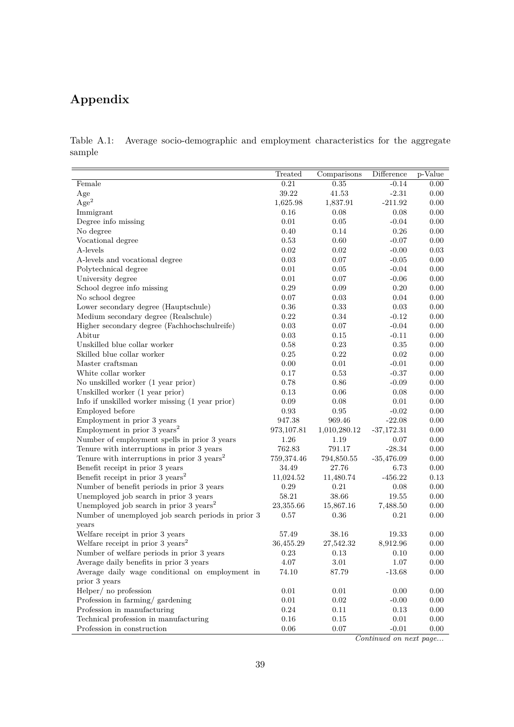# **Appendix**

Table A.1: Average socio-demographic and employment characteristics for the aggregate sample

|                                                        | Treated     | Comparisons  | Difference   | p-Value  |
|--------------------------------------------------------|-------------|--------------|--------------|----------|
| Female                                                 | 0.21        | 0.35         | $-0.14$      | 0.00     |
| Age                                                    | 39.22       | 41.53        | $-2.31$      | 0.00     |
| Age <sup>2</sup>                                       | 1,625.98    | 1,837.91     | $-211.92$    | 0.00     |
| Immigrant                                              | 0.16        | 0.08         | 0.08         | 0.00     |
| Degree info missing                                    | 0.01        | 0.05         | $-0.04$      | 0.00     |
| No degree                                              | 0.40        | 0.14         | 0.26         | 0.00     |
| Vocational degree                                      | 0.53        | 0.60         | $-0.07$      | 0.00     |
| A-levels                                               | 0.02        | 0.02         | $-0.00$      | 0.03     |
| A-levels and vocational degree                         | 0.03        | 0.07         | $-0.05$      | 0.00     |
| Polytechnical degree                                   | 0.01        | 0.05         | $-0.04$      | 0.00     |
| University degree                                      | 0.01        | 0.07         | $-0.06$      | 0.00     |
| School degree info missing                             | 0.29        | 0.09         | 0.20         | 0.00     |
| No school degree                                       | 0.07        | 0.03         | 0.04         | 0.00     |
| Lower secondary degree (Hauptschule)                   | 0.36        | 0.33         | 0.03         | 0.00     |
| Medium secondary degree (Realschule)                   | 0.22        | 0.34         | $-0.12$      | 0.00     |
| Higher secondary degree (Fachhochschulreife)           | 0.03        | 0.07         | $-0.04$      | 0.00     |
| Abitur                                                 | 0.03        | 0.15         | $-0.11$      | 0.00     |
| Unskilled blue collar worker                           | 0.58        | 0.23         | 0.35         | 0.00     |
| Skilled blue collar worker                             | 0.25        | 0.22         | 0.02         | 0.00     |
| Master craftsman                                       | 0.00        | 0.01         | $-0.01$      | 0.00     |
| White collar worker                                    | 0.17        | 0.53         | $-0.37$      | 0.00     |
| No unskilled worker (1 year prior)                     | 0.78        | 0.86         | $-0.09$      | 0.00     |
| Unskilled worker (1 year prior)                        | 0.13        | 0.06         | 0.08         | 0.00     |
| Info if unskilled worker missing (1 year prior)        | 0.09        | 0.08         | 0.01         | 0.00     |
| Employed before                                        | 0.93        | 0.95         | $-0.02$      | 0.00     |
| Employment in prior 3 years                            | 947.38      | 969.46       | $-22.08$     | 0.00     |
| Employment in prior 3 $years2$                         | 973, 107.81 | 1,010,280.12 | $-37,172.31$ | 0.00     |
| Number of employment spells in prior 3 years           | 1.26        | 1.19         | $0.07\,$     | 0.00     |
| Tenure with interruptions in prior 3 years             | 762.83      | 791.17       | $-28.34$     | 0.00     |
| Tenure with interruptions in prior $3 \text{ years}^2$ | 759,374.46  | 794,850.55   | $-35,476.09$ | 0.00     |
| Benefit receipt in prior 3 years                       | 34.49       | 27.76        | 6.73         | 0.00     |
| Benefit receipt in prior 3 years <sup>2</sup>          | 11,024.52   | 11,480.74    | $-456.22$    | 0.13     |
| Number of benefit periods in prior 3 years             | 0.29        | 0.21         | 0.08         | 0.00     |
| Unemployed job search in prior 3 years                 | 58.21       | 38.66        | 19.55        | 0.00     |
| Unemployed job search in prior 3 years <sup>2</sup>    | 23,355.66   | 15,867.16    | 7,488.50     | 0.00     |
| Number of unemployed job search periods in prior 3     | 0.57        | 0.36         | 0.21         | 0.00     |
| years                                                  |             |              |              |          |
| Welfare receipt in prior 3 years                       | 57.49       | 38.16        | 19.33        | 0.00     |
| Welfare receipt in prior $3 \text{ years}^2$           | 36,455.29   | 27,542.32    | 8,912.96     | 0.00     |
| Number of welfare periods in prior 3 years             | 0.23        | 0.13         | 0.10         | 0.00     |
| Average daily benefits in prior 3 years                | 4.07        | $3.01\,$     | 1.07         | 0.00     |
| Average daily wage conditional on employment in        | 74.10       | 87.79        | $-13.68$     | $0.00\,$ |
| prior 3 years                                          |             |              |              |          |
| Helper/no profession                                   | $0.01\,$    | $0.01\,$     | 0.00         | 0.00     |
| Profession in farming/gardening                        | 0.01        | 0.02         | $-0.00$      | 0.00     |
| Profession in manufacturing                            | 0.24        | 0.11         | 0.13         | 0.00     |
| Technical profession in manufacturing                  | $0.16\,$    | $0.15\,$     | $0.01\,$     | $0.00\,$ |
| Profession in construction                             | 0.06        | 0.07         | $-0.01$      | 0.00     |

*Continued on next page...*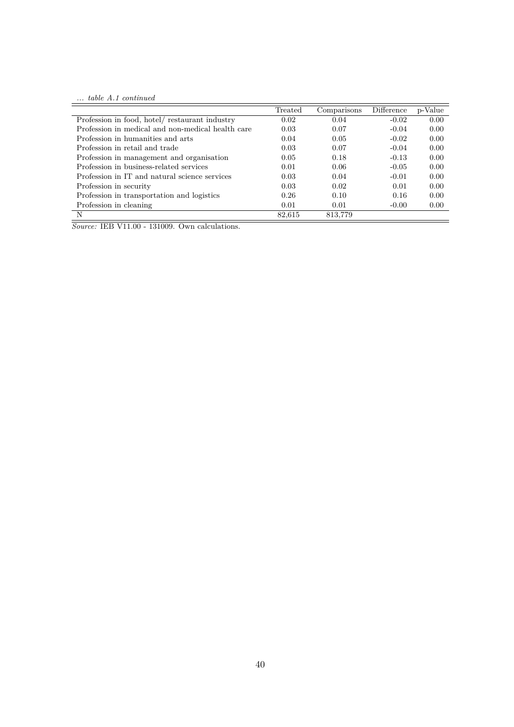*... table A.1 continued*

|                                                   | Treated | Comparisons | Difference | p-Value |
|---------------------------------------------------|---------|-------------|------------|---------|
| Profession in food, hotel/ restaurant industry    | 0.02    | 0.04        | $-0.02$    | 0.00    |
| Profession in medical and non-medical health care | 0.03    | 0.07        | $-0.04$    | 0.00    |
| Profession in humanities and arts                 | 0.04    | 0.05        | $-0.02$    | 0.00    |
| Profession in retail and trade                    | 0.03    | 0.07        | $-0.04$    | 0.00    |
| Profession in management and organisation         | 0.05    | 0.18        | $-0.13$    | 0.00    |
| Profession in business-related services           | 0.01    | 0.06        | $-0.05$    | 0.00    |
| Profession in IT and natural science services     | 0.03    | 0.04        | $-0.01$    | 0.00    |
| Profession in security                            | 0.03    | 0.02        | 0.01       | 0.00    |
| Profession in transportation and logistics        | 0.26    | 0.10        | 0.16       | 0.00    |
| Profession in cleaning                            | 0.01    | 0.01        | $-0.00$    | 0.00    |
| N                                                 | 82,615  | 813,779     |            |         |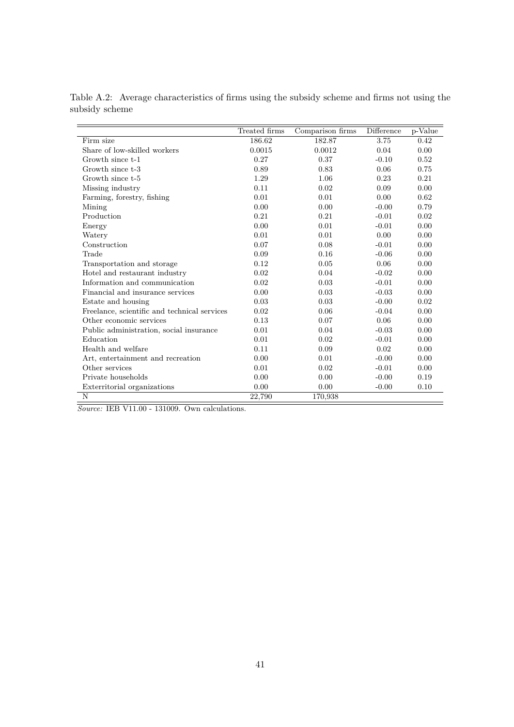|                                              | Treated firms | Comparison firms | Difference | p-Value |
|----------------------------------------------|---------------|------------------|------------|---------|
| Firm size                                    | 186.62        | 182.87           | 3.75       | 0.42    |
| Share of low-skilled workers                 | 0.0015        | 0.0012           | 0.04       | 0.00    |
| Growth since t-1                             | 0.27          | 0.37             | $-0.10$    | 0.52    |
| Growth since t-3                             | 0.89          | 0.83             | 0.06       | 0.75    |
| Growth since t-5                             | 1.29          | 1.06             | 0.23       | 0.21    |
| Missing industry                             | 0.11          | 0.02             | 0.09       | 0.00    |
| Farming, forestry, fishing                   | 0.01          | 0.01             | 0.00       | 0.62    |
| Mining                                       | 0.00          | 0.00             | $-0.00$    | 0.79    |
| Production                                   | 0.21          | 0.21             | $-0.01$    | 0.02    |
| Energy                                       | 0.00          | 0.01             | $-0.01$    | 0.00    |
| Watery                                       | 0.01          | 0.01             | 0.00       | 0.00    |
| Construction                                 | 0.07          | 0.08             | $-0.01$    | 0.00    |
| Trade                                        | 0.09          | 0.16             | $-0.06$    | 0.00    |
| Transportation and storage                   | 0.12          | 0.05             | 0.06       | 0.00    |
| Hotel and restaurant industry                | 0.02          | 0.04             | $-0.02$    | 0.00    |
| Information and communication                | 0.02          | 0.03             | $-0.01$    | 0.00    |
| Financial and insurance services             | 0.00          | 0.03             | $-0.03$    | 0.00    |
| Estate and housing                           | 0.03          | 0.03             | $-0.00$    | 0.02    |
| Freelance, scientific and technical services | 0.02          | 0.06             | $-0.04$    | 0.00    |
| Other economic services                      | 0.13          | 0.07             | 0.06       | 0.00    |
| Public administration, social insurance      | 0.01          | 0.04             | $-0.03$    | 0.00    |
| Education                                    | 0.01          | 0.02             | $-0.01$    | 0.00    |
| Health and welfare                           | 0.11          | 0.09             | 0.02       | 0.00    |
| Art, entertainment and recreation            | 0.00          | 0.01             | $-0.00$    | 0.00    |
| Other services                               | 0.01          | 0.02             | $-0.01$    | 0.00    |
| Private households                           | 0.00          | 0.00             | $-0.00$    | 0.19    |
| Exterritorial organizations                  | 0.00          | 0.00             | $-0.00$    | 0.10    |
| N                                            | 22,790        | 170,938          |            |         |

Table A.2: Average characteristics of firms using the subsidy scheme and firms not using the subsidy scheme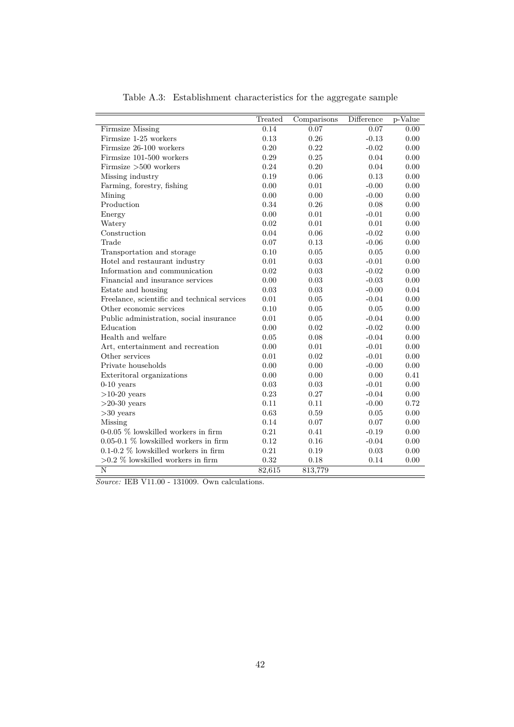|                                              | Treated | Comparisons | $\overline{\text{Difference}}$ | p-Value  |
|----------------------------------------------|---------|-------------|--------------------------------|----------|
| <b>Firmsize Missing</b>                      | 0.14    | 0.07        | 0.07                           | 0.00     |
| Firmsize 1-25 workers                        | 0.13    | 0.26        | $-0.13$                        | 0.00     |
| Firmsize 26-100 workers                      | 0.20    | 0.22        | $-0.02$                        | 0.00     |
| Firmsize 101-500 workers                     | 0.29    | 0.25        | 0.04                           | 0.00     |
| Firmsize $>500$ workers                      | 0.24    | 0.20        | 0.04                           | 0.00     |
| Missing industry                             | 0.19    | 0.06        | 0.13                           | 0.00     |
| Farming, forestry, fishing                   | 0.00    | 0.01        | $-0.00$                        | 0.00     |
| Mining                                       | 0.00    | 0.00        | $-0.00$                        | 0.00     |
| Production                                   | 0.34    | 0.26        | 0.08                           | 0.00     |
| Energy                                       | 0.00    | 0.01        | $-0.01$                        | 0.00     |
| Watery                                       | 0.02    | 0.01        | 0.01                           | 0.00     |
| Construction                                 | 0.04    | 0.06        | $-0.02$                        | 0.00     |
| Trade                                        | 0.07    | 0.13        | $-0.06$                        | 0.00     |
| Transportation and storage                   | 0.10    | 0.05        | 0.05                           | 0.00     |
| Hotel and restaurant industry                | 0.01    | 0.03        | $-0.01$                        | 0.00     |
| Information and communication                | 0.02    | 0.03        | $-0.02$                        | $0.00\,$ |
| Financial and insurance services             | 0.00    | 0.03        | $-0.03$                        | 0.00     |
| Estate and housing                           | 0.03    | 0.03        | $-0.00$                        | 0.04     |
| Freelance, scientific and technical services | 0.01    | 0.05        | $-0.04$                        | 0.00     |
| Other economic services                      | 0.10    | 0.05        | 0.05                           | 0.00     |
| Public administration, social insurance      | 0.01    | 0.05        | $-0.04$                        | 0.00     |
| Education                                    | 0.00    | 0.02        | $-0.02$                        | $0.00\,$ |
| Health and welfare                           | 0.05    | 0.08        | $-0.04$                        | $0.00\,$ |
| Art, entertainment and recreation            | 0.00    | 0.01        | $-0.01$                        | 0.00     |
| Other services                               | 0.01    | 0.02        | $-0.01$                        | 0.00     |
| Private households                           | 0.00    | 0.00        | $-0.00$                        | 0.00     |
| Exteritoral organizations                    | 0.00    | 0.00        | 0.00                           | 0.41     |
| $0-10$ years                                 | 0.03    | 0.03        | $-0.01$                        | 0.00     |
| $>10-20$ years                               | 0.23    | 0.27        | $-0.04$                        | 0.00     |
| $>20-30$ years                               | 0.11    | 0.11        | $-0.00$                        | 0.72     |
| $>30$ years                                  | 0.63    | 0.59        | 0.05                           | 0.00     |
| Missing                                      | 0.14    | 0.07        | 0.07                           | 0.00     |
| $0-0.05\%$ lowskilled workers in firm        | 0.21    | 0.41        | $-0.19$                        | 0.00     |
| $0.05$ -0.1 % lowskilled workers in firm     | 0.12    | 0.16        | $-0.04$                        | 0.00     |
| $0.1$ -0.2 % lowskilled workers in firm      | 0.21    | 0.19        | 0.03                           | 0.00     |
| $>0.2$ % lowskilled workers in firm          | 0.32    | 0.18        | 0.14                           | 0.00     |
| N                                            | 82,615  | 813,779     |                                |          |

Table A.3: Establishment characteristics for the aggregate sample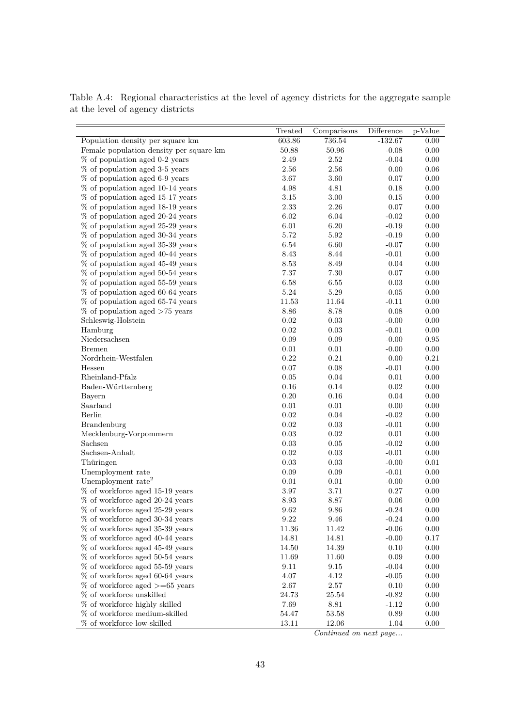|                                                                    | Treated    | Comparisons | <b>Difference</b> | p-Value    |
|--------------------------------------------------------------------|------------|-------------|-------------------|------------|
| Population density per square km                                   | 603.86     | 736.54      | $-132.67$         | 0.00       |
| Female population density per square km                            | 50.88      | 50.96       | $-0.08$           | 0.00       |
| % of population aged 0-2 years                                     | 2.49       | 2.52        | $-0.04$           | $0.00\,$   |
| $\%$ of population aged 3-5 years                                  | $2.56\,$   | 2.56        | 0.00              | $0.06\,$   |
| % of population aged 6-9 years                                     | 3.67       | 3.60        | 0.07              | 0.00       |
| % of population aged 10-14 years                                   | 4.98       | 4.81        | 0.18              | 0.00       |
| % of population aged 15-17 years                                   | $3.15\,$   | $3.00\,$    | 0.15              | 0.00       |
| % of population aged 18-19 years                                   | 2.33       | 2.26        | 0.07              | 0.00       |
| % of population aged 20-24 years                                   | 6.02       | 6.04        | $-0.02$           | 0.00       |
| % of population aged 25-29 years                                   | 6.01       | 6.20        | $-0.19$           | $0.00\,$   |
| % of population aged 30-34 years                                   | 5.72       | 5.92        | $-0.19$           | $0.00\,$   |
| $\%$ of population aged 35-39 years                                | 6.54       | $6.60\,$    | $-0.07$           | 0.00       |
| $\%$ of population aged 40-44 years                                | 8.43       | $8.44\,$    | $-0.01$           | 0.00       |
| % of population aged 45-49 years                                   | 8.53       | 8.49        | 0.04              | 0.00       |
| % of population aged 50-54 years                                   | 7.37       | 7.30        | 0.07              | 0.00       |
| % of population aged 55-59 years                                   | 6.58       | 6.55        | 0.03              | $0.00\,$   |
| % of population aged 60-64 years                                   | $5.24\,$   | $5.29\,$    | $-0.05$           | 0.00       |
| % of population aged 65-74 years                                   | 11.53      | 11.64       | $-0.11$           | 0.00       |
| $\%$ of population aged $>75$ years                                | $8.86\,$   | 8.78        | 0.08              | 0.00       |
| Schleswig-Holstein                                                 | 0.02       | 0.03        | $-0.00$           | 0.00       |
| Hamburg                                                            | 0.02       | 0.03        | $-0.01$           | 0.00       |
| Niedersachsen                                                      | $0.09\,$   | $0.09\,$    | $-0.00$           | $\rm 0.95$ |
| <b>Bremen</b>                                                      | $0.01\,$   | $0.01\,$    | $-0.00$           | $0.00\,$   |
| Nordrhein-Westfalen                                                | 0.22       | $0.21\,$    | 0.00              | 0.21       |
| Hessen                                                             | 0.07       | 0.08        | $-0.01$           | 0.00       |
| Rheinland-Pfalz                                                    | 0.05       | 0.04        | 0.01              | 0.00       |
| Baden-Württemberg                                                  | $0.16\,$   | 0.14        | 0.02              | 0.00       |
| Bayern                                                             | $0.20\,$   | $0.16\,$    | 0.04              | 0.00       |
| Saarland                                                           | 0.01       | $0.01\,$    | 0.00              | 0.00       |
| Berlin                                                             | 0.02       | 0.04        | $-0.02$           | 0.00       |
| <b>Brandenburg</b>                                                 | 0.02       | 0.03        | $-0.01$           | 0.00       |
| Mecklenburg-Vorpommern                                             | 0.03       | 0.02        | 0.01              | 0.00       |
| Sachsen                                                            | $\rm 0.03$ | 0.05        | $-0.02$           | $0.00\,$   |
| Sachsen-Anhalt                                                     | $0.02\,$   | $0.03\,$    | $-0.01$           | 0.00       |
| Thüringen                                                          | 0.03       | 0.03        | $-0.00$           | 0.01       |
| Unemployment rate                                                  | 0.09       | 0.09        | $-0.01$           | 0.00       |
| Unemployment rate <sup>2</sup>                                     | 0.01       | 0.01        | $-0.00$           | 0.00       |
| $%$ of workforce aged 15-19 years                                  | $3.97\,$   | 3.71        | 0.27              | 0.00       |
| $\%$ of workforce aged 20-24 years                                 | $8.93\,$   | 8.87        | 0.06              | 0.00       |
| % of workforce aged 25-29 years                                    | 9.62       | 9.86        | $-0.24$           | 0.00       |
| % of workforce aged 30-34 years                                    | 9.22       | 9.46        | $-0.24$           | 0.00       |
| % of workforce aged 35-39 years                                    | 11.36      | $11.42\,$   | $-0.06$           | $0.00\,$   |
| % of workforce aged 40-44 years                                    | 14.81      | 14.81       |                   | 0.17       |
| % of workforce aged 45-49 years                                    |            |             | $-0.00$           |            |
|                                                                    | 14.50      | 14.39       | 0.10              | 0.00       |
| % of workforce aged 50-54 years<br>% of workforce aged 55-59 years | 11.69      | 11.60       | 0.09              | 0.00       |
|                                                                    | 9.11       | 9.15        | $-0.04$           | 0.00       |
| % of workforce aged 60-64 years                                    | $4.07\,$   | 4.12        | $-0.05$           | 0.00       |
| $\%$ of workforce aged $>= 65$ years                               | 2.67       | $2.57\,$    | 0.10              | 0.00       |
| % of workforce unskilled                                           | 24.73      | 25.54       | $-0.82$           | 0.00       |
| % of workforce highly skilled                                      | 7.69       | 8.81        | $-1.12$           | 0.00       |
| % of workforce medium-skilled                                      | $54.47\,$  | $53.58\,$   | 0.89              | 0.00       |
| % of workforce low-skilled                                         | 13.11      | $12.06\,$   | $1.04\,$          | $0.00\,$   |

Table A.4: Regional characteristics at the level of agency districts for the aggregate sample at the level of agency districts

*Continued on next page...*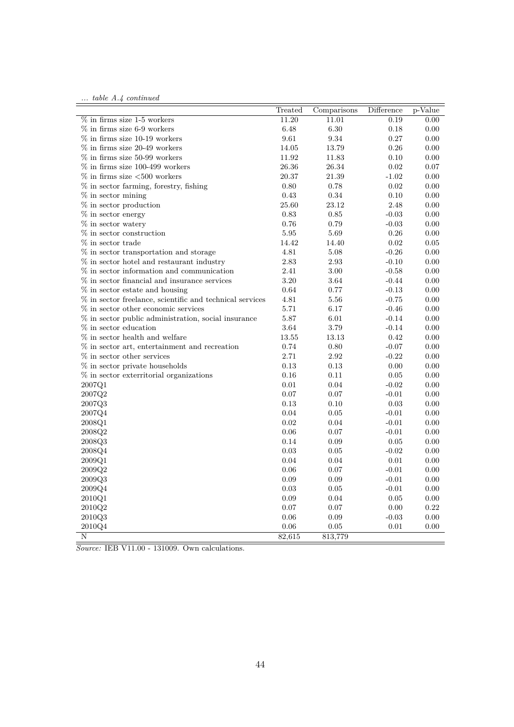|  |  |  |  | table A.4 continued |
|--|--|--|--|---------------------|
|--|--|--|--|---------------------|

|                                                            | Treated  | Comparisons | Difference | p-Value  |
|------------------------------------------------------------|----------|-------------|------------|----------|
| $\%$ in firms size 1-5 workers                             | 11.20    | 11.01       | 0.19       | 0.00     |
| $\%$ in firms size 6-9 workers                             | 6.48     | 6.30        | 0.18       | 0.00     |
| $\%$ in firms size 10-19 workers                           | 9.61     | 9.34        | 0.27       | 0.00     |
| $\%$ in firms size 20-49 workers                           | 14.05    | 13.79       | 0.26       | 0.00     |
| $\%$ in firms size 50-99 workers                           | 11.92    | 11.83       | 0.10       | 0.00     |
| $\%$ in firms size 100-499 workers                         | 26.36    | 26.34       | 0.02       | 0.07     |
| $\%$ in firms size ${<}500$ workers                        | 20.37    | 21.39       | $-1.02$    | 0.00     |
| % in sector farming, forestry, fishing                     | 0.80     | 0.78        | 0.02       | 0.00     |
| $%$ in sector mining                                       | 0.43     | 0.34        | 0.10       | 0.00     |
| $%$ in sector production                                   | 25.60    | 23.12       | 2.48       | 0.00     |
| % in sector energy                                         | 0.83     | 0.85        | $-0.03$    | 0.00     |
| % in sector watery                                         | 0.76     | 0.79        | $-0.03$    | 0.00     |
| $\%$ in sector construction                                | 5.95     | 5.69        | 0.26       | 0.00     |
| % in sector trade                                          | 14.42    | 14.40       | 0.02       | 0.05     |
| $%$ in sector transportation and storage                   | 4.81     | 5.08        | $-0.26$    | 0.00     |
| $%$ in sector hotel and restaurant industry                | 2.83     | 2.93        | $-0.10$    | 0.00     |
| $%$ in sector information and communication                | 2.41     | 3.00        | $-0.58$    | 0.00     |
| % in sector financial and insurance services               | $3.20\,$ | 3.64        | $-0.44$    | 0.00     |
| $%$ in sector estate and housing                           | 0.64     | 0.77        | $-0.13$    | 0.00     |
| $%$ in sector freelance, scientific and technical services | 4.81     | 5.56        | $-0.75$    | 0.00     |
| $\%$ in sector other economic services                     | 5.71     | 6.17        | $-0.46$    | 0.00     |
| % in sector public administration, social insurance        | 5.87     | 6.01        | $-0.14$    | 0.00     |
| % in sector education                                      | 3.64     | 3.79        | $-0.14$    | 0.00     |
| % in sector health and welfare                             | 13.55    | 13.13       | 0.42       | 0.00     |
| % in sector art, entertainment and recreation              | 0.74     | 0.80        | $-0.07$    | 0.00     |
| $\%$ in sector other services                              | 2.71     | 2.92        | $-0.22$    | 0.00     |
| % in sector private households                             | 0.13     | 0.13        | 0.00       | 0.00     |
| $%$ in sector exterritorial organizations                  | 0.16     | 0.11        | 0.05       | 0.00     |
| 2007Q1                                                     | 0.01     | 0.04        | $-0.02$    | 0.00     |
| 2007Q2                                                     | 0.07     | 0.07        | $-0.01$    | 0.00     |
| 2007Q3                                                     | 0.13     | 0.10        | 0.03       | 0.00     |
| 2007Q4                                                     | 0.04     | 0.05        | $-0.01$    | 0.00     |
| 2008Q1                                                     | 0.02     | 0.04        | $-0.01$    | 0.00     |
| 2008Q2                                                     | 0.06     | 0.07        | $-0.01$    | 0.00     |
| 2008Q3                                                     | 0.14     | 0.09        | 0.05       | 0.00     |
| 2008Q4                                                     | 0.03     | 0.05        | $-0.02$    | 0.00     |
| 2009Q1                                                     | 0.04     | 0.04        | 0.01       | 0.00     |
| 2009Q2                                                     | 0.06     | 0.07        | $-0.01$    | 0.00     |
| 2009Q3                                                     | 0.09     | 0.09        | $-0.01$    | 0.00     |
| 2009Q4                                                     | 0.03     | 0.05        | $-0.01$    | 0.00     |
| 2010Q1                                                     | 0.09     | 0.04        | 0.05       | $0.00\,$ |
| 2010Q2                                                     | 0.07     | 0.07        | 0.00       | 0.22     |
| 2010Q3                                                     | $0.06\,$ | 0.09        | $-0.03$    | 0.00     |
| 2010Q4                                                     | 0.06     | 0.05        | 0.01       | 0.00     |
| N                                                          | 82,615   | 813,779     |            |          |
|                                                            |          |             |            |          |